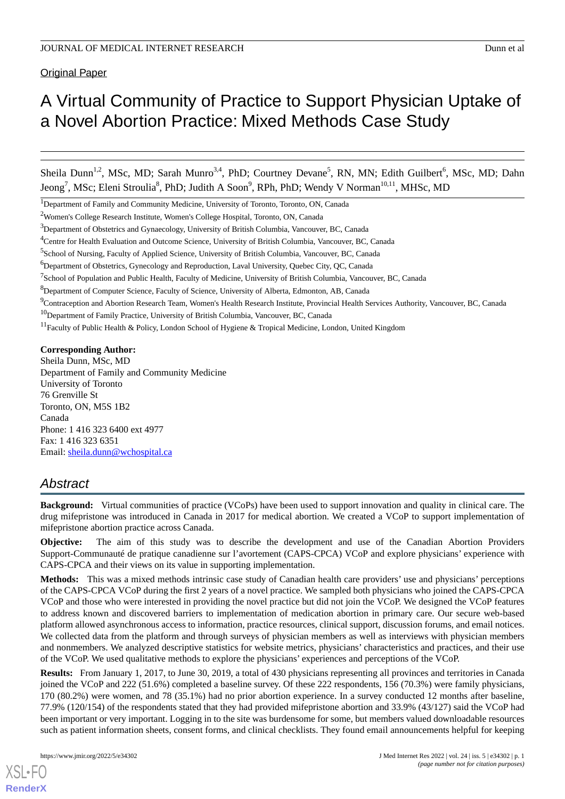Original Paper

# A Virtual Community of Practice to Support Physician Uptake of a Novel Abortion Practice: Mixed Methods Case Study

Sheila Dunn<sup>1,2</sup>, MSc, MD; Sarah Munro<sup>3,4</sup>, PhD; Courtney Devane<sup>5</sup>, RN, MN; Edith Guilbert<sup>6</sup>, MSc, MD; Dahn Jeong<sup>7</sup>, MSc; Eleni Stroulia<sup>8</sup>, PhD; Judith A Soon<sup>9</sup>, RPh, PhD; Wendy V Norman<sup>10,11</sup>, MHSc, MD

 $3$ Department of Obstetrics and Gynaecology, University of British Columbia, Vancouver, BC, Canada

<sup>5</sup>School of Nursing, Faculty of Applied Science, University of British Columbia, Vancouver, BC, Canada

<sup>7</sup>School of Population and Public Health, Faculty of Medicine, University of British Columbia, Vancouver, BC, Canada

<sup>9</sup>Contraception and Abortion Research Team, Women's Health Research Institute, Provincial Health Services Authority, Vancouver, BC, Canada

<sup>10</sup>Department of Family Practice, University of British Columbia, Vancouver, BC, Canada

 $11$ Faculty of Public Health & Policy, London School of Hygiene & Tropical Medicine, London, United Kingdom

**Corresponding Author:**

Sheila Dunn, MSc, MD Department of Family and Community Medicine University of Toronto 76 Grenville St Toronto, ON, M5S 1B2 Canada Phone: 1 416 323 6400 ext 4977 Fax: 1 416 323 6351 Email: [sheila.dunn@wchospital.ca](mailto:sheila.dunn@wchospital.ca)

## *Abstract*

**Background:** Virtual communities of practice (VCoPs) have been used to support innovation and quality in clinical care. The drug mifepristone was introduced in Canada in 2017 for medical abortion. We created a VCoP to support implementation of mifepristone abortion practice across Canada.

**Objective:** The aim of this study was to describe the development and use of the Canadian Abortion Providers Support-Communauté de pratique canadienne sur l'avortement (CAPS-CPCA) VCoP and explore physicians' experience with CAPS-CPCA and their views on its value in supporting implementation.

**Methods:** This was a mixed methods intrinsic case study of Canadian health care providers' use and physicians' perceptions of the CAPS-CPCA VCoP during the first 2 years of a novel practice. We sampled both physicians who joined the CAPS-CPCA VCoP and those who were interested in providing the novel practice but did not join the VCoP. We designed the VCoP features to address known and discovered barriers to implementation of medication abortion in primary care. Our secure web-based platform allowed asynchronous access to information, practice resources, clinical support, discussion forums, and email notices. We collected data from the platform and through surveys of physician members as well as interviews with physician members and nonmembers. We analyzed descriptive statistics for website metrics, physicians' characteristics and practices, and their use of the VCoP. We used qualitative methods to explore the physicians' experiences and perceptions of the VCoP.

**Results:** From January 1, 2017, to June 30, 2019, a total of 430 physicians representing all provinces and territories in Canada joined the VCoP and 222 (51.6%) completed a baseline survey. Of these 222 respondents, 156 (70.3%) were family physicians, 170 (80.2%) were women, and 78 (35.1%) had no prior abortion experience. In a survey conducted 12 months after baseline, 77.9% (120/154) of the respondents stated that they had provided mifepristone abortion and 33.9% (43/127) said the VCoP had been important or very important. Logging in to the site was burdensome for some, but members valued downloadable resources such as patient information sheets, consent forms, and clinical checklists. They found email announcements helpful for keeping

<sup>&</sup>lt;sup>1</sup>Department of Family and Community Medicine, University of Toronto, Toronto, ON, Canada

<sup>2</sup>Women's College Research Institute, Women's College Hospital, Toronto, ON, Canada

<sup>4</sup>Centre for Health Evaluation and Outcome Science, University of British Columbia, Vancouver, BC, Canada

<sup>6</sup>Department of Obstetrics, Gynecology and Reproduction, Laval University, Quebec City, QC, Canada

<sup>&</sup>lt;sup>8</sup>Department of Computer Science, Faculty of Science, University of Alberta, Edmonton, AB, Canada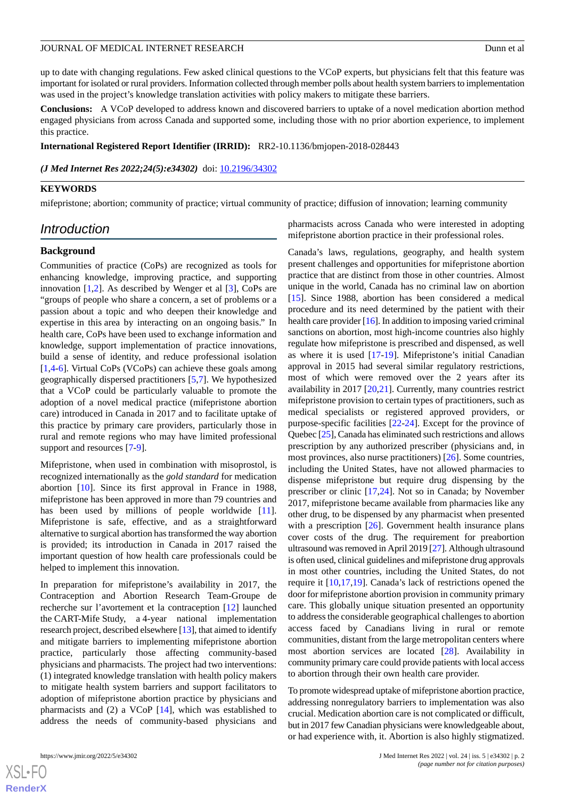up to date with changing regulations. Few asked clinical questions to the VCoP experts, but physicians felt that this feature was important for isolated or rural providers. Information collected through member polls about health system barriers to implementation was used in the project's knowledge translation activities with policy makers to mitigate these barriers.

**Conclusions:** A VCoP developed to address known and discovered barriers to uptake of a novel medication abortion method engaged physicians from across Canada and supported some, including those with no prior abortion experience, to implement this practice.

#### **International Registered Report Identifier (IRRID):** RR2-10.1136/bmjopen-2018-028443

*(J Med Internet Res 2022;24(5):e34302)* doi:  $10.2196/34302$ 

#### **KEYWORDS**

mifepristone; abortion; community of practice; virtual community of practice; diffusion of innovation; learning community

### *Introduction*

#### **Background**

Communities of practice (CoPs) are recognized as tools for enhancing knowledge, improving practice, and supporting innovation [[1](#page-13-0)[,2](#page-13-1)]. As described by Wenger et al [[3\]](#page-13-2), CoPs are "groups of people who share a concern, a set of problems or a passion about a topic and who deepen their knowledge and expertise in this area by interacting on an ongoing basis." In health care, CoPs have been used to exchange information and knowledge, support implementation of practice innovations, build a sense of identity, and reduce professional isolation [[1](#page-13-0)[,4](#page-13-3)-[6\]](#page-13-4). Virtual CoPs (VCoPs) can achieve these goals among geographically dispersed practitioners [[5,](#page-13-5)[7](#page-13-6)]. We hypothesized that a VCoP could be particularly valuable to promote the adoption of a novel medical practice (mifepristone abortion care) introduced in Canada in 2017 and to facilitate uptake of this practice by primary care providers, particularly those in rural and remote regions who may have limited professional support and resources [[7-](#page-13-6)[9\]](#page-13-7).

Mifepristone, when used in combination with misoprostol, is recognized internationally as the *gold standard* for medication abortion [[10\]](#page-13-8). Since its first approval in France in 1988, mifepristone has been approved in more than 79 countries and has been used by millions of people worldwide [[11\]](#page-13-9). Mifepristone is safe, effective, and as a straightforward alternative to surgical abortion has transformed the way abortion is provided; its introduction in Canada in 2017 raised the important question of how health care professionals could be helped to implement this innovation.

In preparation for mifepristone's availability in 2017, the Contraception and Abortion Research Team-Groupe de recherche sur l'avortement et la contraception [\[12](#page-13-10)] launched the CART-Mife Study, a 4-year national implementation research project, described elsewhere [[13\]](#page-13-11), that aimed to identify and mitigate barriers to implementing mifepristone abortion practice, particularly those affecting community-based physicians and pharmacists. The project had two interventions: (1) integrated knowledge translation with health policy makers to mitigate health system barriers and support facilitators to adoption of mifepristone abortion practice by physicians and pharmacists and (2) a VCoP [\[14](#page-13-12)], which was established to address the needs of community-based physicians and

pharmacists across Canada who were interested in adopting mifepristone abortion practice in their professional roles.

Canada's laws, regulations, geography, and health system present challenges and opportunities for mifepristone abortion practice that are distinct from those in other countries. Almost unique in the world, Canada has no criminal law on abortion [[15\]](#page-13-13). Since 1988, abortion has been considered a medical procedure and its need determined by the patient with their health care provider [\[16](#page-13-14)]. In addition to imposing varied criminal sanctions on abortion, most high-income countries also highly regulate how mifepristone is prescribed and dispensed, as well as where it is used [[17-](#page-13-15)[19\]](#page-14-0). Mifepristone's initial Canadian approval in 2015 had several similar regulatory restrictions, most of which were removed over the 2 years after its availability in 2017 [\[20](#page-14-1),[21\]](#page-14-2). Currently, many countries restrict mifepristone provision to certain types of practitioners, such as medical specialists or registered approved providers, or purpose-specific facilities [\[22](#page-14-3)-[24\]](#page-14-4). Except for the province of Quebec [[25\]](#page-14-5), Canada has eliminated such restrictions and allows prescription by any authorized prescriber (physicians and, in most provinces, also nurse practitioners) [\[26](#page-14-6)]. Some countries, including the United States, have not allowed pharmacies to dispense mifepristone but require drug dispensing by the prescriber or clinic [[17,](#page-13-15)[24](#page-14-4)]. Not so in Canada; by November 2017, mifepristone became available from pharmacies like any other drug, to be dispensed by any pharmacist when presented with a prescription [\[26](#page-14-6)]. Government health insurance plans cover costs of the drug. The requirement for preabortion ultrasound was removed in April 2019 [[27](#page-14-7)]. Although ultrasound is often used, clinical guidelines and mifepristone drug approvals in most other countries, including the United States, do not require it [[10](#page-13-8)[,17](#page-13-15),[19\]](#page-14-0). Canada's lack of restrictions opened the door for mifepristone abortion provision in community primary care. This globally unique situation presented an opportunity to address the considerable geographical challenges to abortion access faced by Canadians living in rural or remote communities, distant from the large metropolitan centers where most abortion services are located [\[28](#page-14-8)]. Availability in community primary care could provide patients with local access to abortion through their own health care provider.

To promote widespread uptake of mifepristone abortion practice, addressing nonregulatory barriers to implementation was also crucial. Medication abortion care is not complicated or difficult, but in 2017 few Canadian physicians were knowledgeable about, or had experience with, it. Abortion is also highly stigmatized.

```
XS • FC
RenderX
```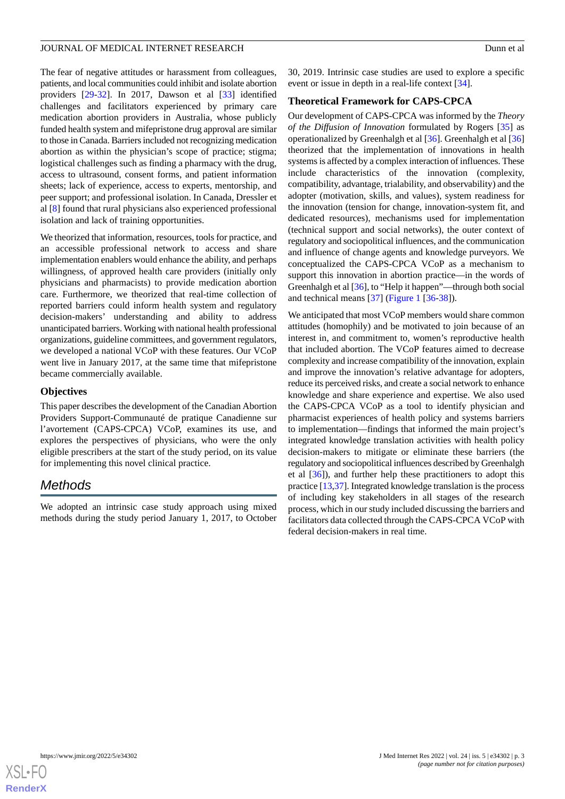The fear of negative attitudes or harassment from colleagues, patients, and local communities could inhibit and isolate abortion providers [\[29](#page-14-9)-[32\]](#page-14-10). In 2017, Dawson et al [\[33](#page-14-11)] identified challenges and facilitators experienced by primary care medication abortion providers in Australia, whose publicly funded health system and mifepristone drug approval are similar to those in Canada. Barriers included not recognizing medication abortion as within the physician's scope of practice; stigma; logistical challenges such as finding a pharmacy with the drug, access to ultrasound, consent forms, and patient information sheets; lack of experience, access to experts, mentorship, and peer support; and professional isolation. In Canada, Dressler et al [\[8](#page-13-16)] found that rural physicians also experienced professional isolation and lack of training opportunities.

We theorized that information, resources, tools for practice, and an accessible professional network to access and share implementation enablers would enhance the ability, and perhaps willingness, of approved health care providers (initially only physicians and pharmacists) to provide medication abortion care. Furthermore, we theorized that real-time collection of reported barriers could inform health system and regulatory decision-makers' understanding and ability to address unanticipated barriers. Working with national health professional organizations, guideline committees, and government regulators, we developed a national VCoP with these features. Our VCoP went live in January 2017, at the same time that mifepristone became commercially available.

### **Objectives**

This paper describes the development of the Canadian Abortion Providers Support-Communauté de pratique Canadienne sur l'avortement (CAPS-CPCA) VCoP, examines its use, and explores the perspectives of physicians, who were the only eligible prescribers at the start of the study period, on its value for implementing this novel clinical practice.

### *Methods*

We adopted an intrinsic case study approach using mixed methods during the study period January 1, 2017, to October 30, 2019. Intrinsic case studies are used to explore a specific event or issue in depth in a real-life context [\[34](#page-14-12)].

### **Theoretical Framework for CAPS-CPCA**

Our development of CAPS-CPCA was informed by the *Theory of the Diffusion of Innovation* formulated by Rogers [\[35](#page-14-13)] as operationalized by Greenhalgh et al [\[36](#page-14-14)]. Greenhalgh et al [\[36](#page-14-14)] theorized that the implementation of innovations in health systems is affected by a complex interaction of influences. These include characteristics of the innovation (complexity, compatibility, advantage, trialability, and observability) and the adopter (motivation, skills, and values), system readiness for the innovation (tension for change, innovation-system fit, and dedicated resources), mechanisms used for implementation (technical support and social networks), the outer context of regulatory and sociopolitical influences, and the communication and influence of change agents and knowledge purveyors. We conceptualized the CAPS-CPCA VCoP as a mechanism to support this innovation in abortion practice—in the words of Greenhalgh et al [[36](#page-14-14)], to "Help it happen"—through both social and technical means [[37\]](#page-14-15) ([Figure 1](#page-3-0) [\[36](#page-14-14)[-38](#page-14-16)]).

We anticipated that most VCoP members would share common attitudes (homophily) and be motivated to join because of an interest in, and commitment to, women's reproductive health that included abortion. The VCoP features aimed to decrease complexity and increase compatibility of the innovation, explain and improve the innovation's relative advantage for adopters, reduce its perceived risks, and create a social network to enhance knowledge and share experience and expertise. We also used the CAPS-CPCA VCoP as a tool to identify physician and pharmacist experiences of health policy and systems barriers to implementation—findings that informed the main project's integrated knowledge translation activities with health policy decision-makers to mitigate or eliminate these barriers (the regulatory and sociopolitical influences described by Greenhalgh et al [\[36](#page-14-14)]), and further help these practitioners to adopt this practice [\[13](#page-13-11)[,37](#page-14-15)]. Integrated knowledge translation is the process of including key stakeholders in all stages of the research process, which in our study included discussing the barriers and facilitators data collected through the CAPS-CPCA VCoP with federal decision-makers in real time.

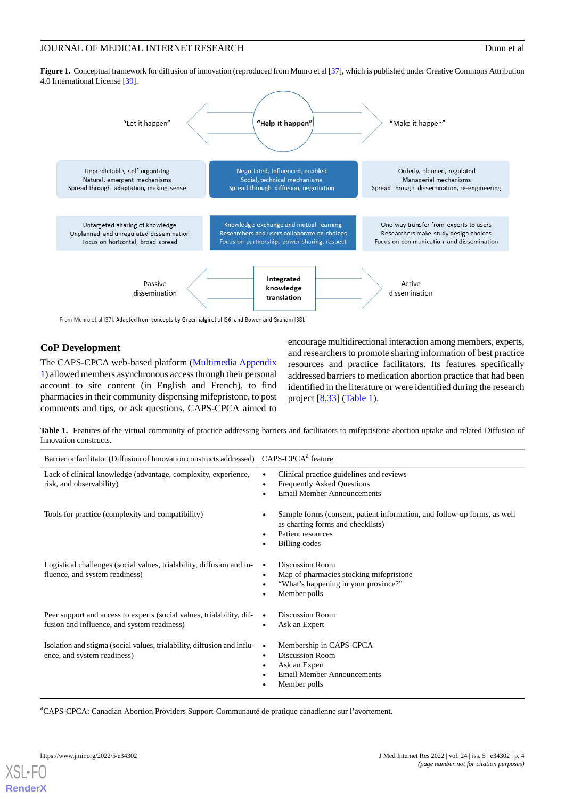<span id="page-3-0"></span>Figure 1. Conceptual framework for diffusion of innovation (reproduced from Munro et al [\[37\]](#page-14-15), which is published under Creative Commons Attribution 4.0 International License [\[39\]](#page-14-17).



From Munro et al [37]. Adapted from concepts by Greenhalgh et al [36] and Bowen and Graham [38].

### **CoP Development**

<span id="page-3-1"></span>The CAPS-CPCA web-based platform [\(Multimedia Appendix](#page-13-17) [1](#page-13-17)) allowed members asynchronous access through their personal account to site content (in English and French), to find pharmacies in their community dispensing mifepristone, to post comments and tips, or ask questions. CAPS-CPCA aimed to

encourage multidirectional interaction among members, experts, and researchers to promote sharing information of best practice resources and practice facilitators. Its features specifically addressed barriers to medication abortion practice that had been identified in the literature or were identified during the research project [\[8](#page-13-16),[33\]](#page-14-11) ([Table 1](#page-3-1)).

**Table 1.** Features of the virtual community of practice addressing barriers and facilitators to mifepristone abortion uptake and related Diffusion of Innovation constructs.

| Barrier or facilitator (Diffusion of Innovation constructs addressed) CAPS-CPCA <sup>a</sup> feature                 |                                                                                                                                                                                    |  |
|----------------------------------------------------------------------------------------------------------------------|------------------------------------------------------------------------------------------------------------------------------------------------------------------------------------|--|
| Lack of clinical knowledge (advantage, complexity, experience,<br>risk, and observability)                           | Clinical practice guidelines and reviews<br>$\bullet$<br><b>Frequently Asked Questions</b><br>$\bullet$<br><b>Email Member Announcements</b>                                       |  |
| Tools for practice (complexity and compatibility)                                                                    | Sample forms (consent, patient information, and follow-up forms, as well<br>$\bullet$<br>as charting forms and checklists)<br>Patient resources<br>$\bullet$<br>Billing codes<br>٠ |  |
| Logistical challenges (social values, trialability, diffusion and in-<br>fluence, and system readiness)              | <b>Discussion Room</b><br>Map of pharmacies stocking mifepristone<br>$\bullet$<br>"What's happening in your province?"<br>٠<br>Member polls                                        |  |
| Peer support and access to experts (social values, trialability, dif-<br>fusion and influence, and system readiness) | <b>Discussion Room</b><br>$\bullet$<br>Ask an Expert<br>٠                                                                                                                          |  |
| Isolation and stigma (social values, trialability, diffusion and influ-<br>ence, and system readiness)               | Membership in CAPS-CPCA<br>$\bullet$<br><b>Discussion Room</b><br>$\bullet$<br>Ask an Expert<br><b>Email Member Announcements</b><br>Member polls                                  |  |

<sup>a</sup>CAPS-CPCA: Canadian Abortion Providers Support-Communauté de pratique canadienne sur l'avortement.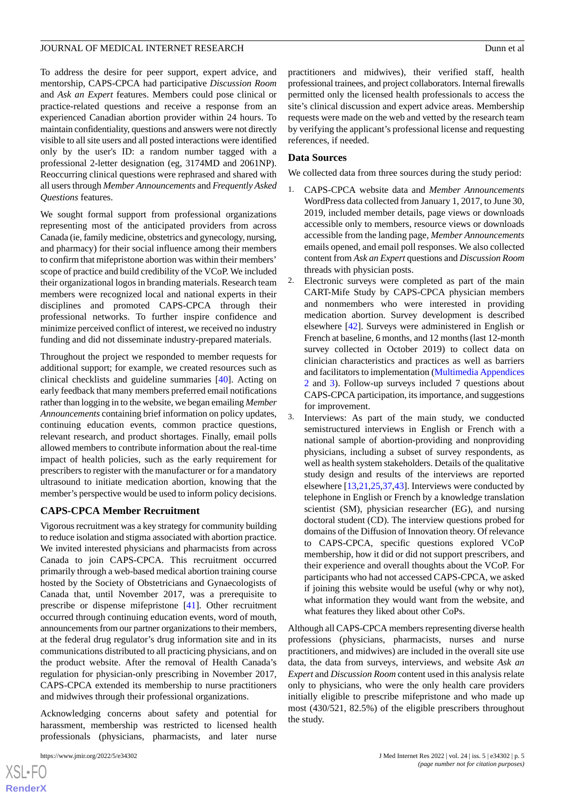To address the desire for peer support, expert advice, and mentorship, CAPS-CPCA had participative *Discussion Room* and *Ask an Expert* features. Members could pose clinical or practice-related questions and receive a response from an experienced Canadian abortion provider within 24 hours. To maintain confidentiality, questions and answers were not directly visible to all site users and all posted interactions were identified only by the user's ID: a random number tagged with a professional 2-letter designation (eg, 3174MD and 2061NP). Reoccurring clinical questions were rephrased and shared with all users through *Member Announcements* and *Frequently Asked Questions* features.

We sought formal support from professional organizations representing most of the anticipated providers from across Canada (ie, family medicine, obstetrics and gynecology, nursing, and pharmacy) for their social influence among their members to confirm that mifepristone abortion was within their members' scope of practice and build credibility of the VCoP. We included their organizational logos in branding materials. Research team members were recognized local and national experts in their disciplines and promoted CAPS-CPCA through their professional networks. To further inspire confidence and minimize perceived conflict of interest, we received no industry funding and did not disseminate industry-prepared materials.

Throughout the project we responded to member requests for additional support; for example, we created resources such as clinical checklists and guideline summaries [\[40](#page-14-18)]. Acting on early feedback that many members preferred email notifications rather than logging in to the website, we began emailing *Member Announcements* containing brief information on policy updates, continuing education events, common practice questions, relevant research, and product shortages. Finally, email polls allowed members to contribute information about the real-time impact of health policies, such as the early requirement for prescribers to register with the manufacturer or for a mandatory ultrasound to initiate medication abortion, knowing that the member's perspective would be used to inform policy decisions.

#### **CAPS-CPCA Member Recruitment**

Vigorous recruitment was a key strategy for community building to reduce isolation and stigma associated with abortion practice. We invited interested physicians and pharmacists from across Canada to join CAPS-CPCA. This recruitment occurred primarily through a web-based medical abortion training course hosted by the Society of Obstetricians and Gynaecologists of Canada that, until November 2017, was a prerequisite to prescribe or dispense mifepristone [[41\]](#page-14-19). Other recruitment occurred through continuing education events, word of mouth, announcements from our partner organizations to their members, at the federal drug regulator's drug information site and in its communications distributed to all practicing physicians, and on the product website. After the removal of Health Canada's regulation for physician-only prescribing in November 2017, CAPS-CPCA extended its membership to nurse practitioners and midwives through their professional organizations.

Acknowledging concerns about safety and potential for harassment, membership was restricted to licensed health professionals (physicians, pharmacists, and later nurse

practitioners and midwives), their verified staff, health professional trainees, and project collaborators. Internal firewalls permitted only the licensed health professionals to access the site's clinical discussion and expert advice areas. Membership requests were made on the web and vetted by the research team by verifying the applicant's professional license and requesting references, if needed.

#### **Data Sources**

We collected data from three sources during the study period:

- 1. CAPS-CPCA website data and *Member Announcements* WordPress data collected from January 1, 2017, to June 30, 2019, included member details, page views or downloads accessible only to members, resource views or downloads accessible from the landing page, *Member Announcements* emails opened, and email poll responses. We also collected content from *Ask an Expert* questions and *Discussion Room* threads with physician posts.
- 2. Electronic surveys were completed as part of the main CART-Mife Study by CAPS-CPCA physician members and nonmembers who were interested in providing medication abortion. Survey development is described elsewhere [\[42](#page-15-0)]. Surveys were administered in English or French at baseline, 6 months, and 12 months (last 12-month survey collected in October 2019) to collect data on clinician characteristics and practices as well as barriers and facilitators to implementation ([Multimedia Appendices](#page-13-18) [2](#page-13-18) and [3\)](#page-13-19). Follow-up surveys included 7 questions about CAPS-CPCA participation, its importance, and suggestions for improvement.
- 3. Interviews: As part of the main study, we conducted semistructured interviews in English or French with a national sample of abortion-providing and nonproviding physicians, including a subset of survey respondents, as well as health system stakeholders. Details of the qualitative study design and results of the interviews are reported elsewhere [[13](#page-13-11)[,21](#page-14-2),[25](#page-14-5)[,37](#page-14-15),[43\]](#page-15-1). Interviews were conducted by telephone in English or French by a knowledge translation scientist (SM), physician researcher (EG), and nursing doctoral student (CD). The interview questions probed for domains of the Diffusion of Innovation theory. Of relevance to CAPS-CPCA, specific questions explored VCoP membership, how it did or did not support prescribers, and their experience and overall thoughts about the VCoP. For participants who had not accessed CAPS-CPCA, we asked if joining this website would be useful (why or why not), what information they would want from the website, and what features they liked about other CoPs.

Although all CAPS-CPCA members representing diverse health professions (physicians, pharmacists, nurses and nurse practitioners, and midwives) are included in the overall site use data, the data from surveys, interviews, and website *Ask an Expert* and *Discussion Room* content used in this analysis relate only to physicians, who were the only health care providers initially eligible to prescribe mifepristone and who made up most (430/521, 82.5%) of the eligible prescribers throughout the study.

 $XS$ -FO **[RenderX](http://www.renderx.com/)**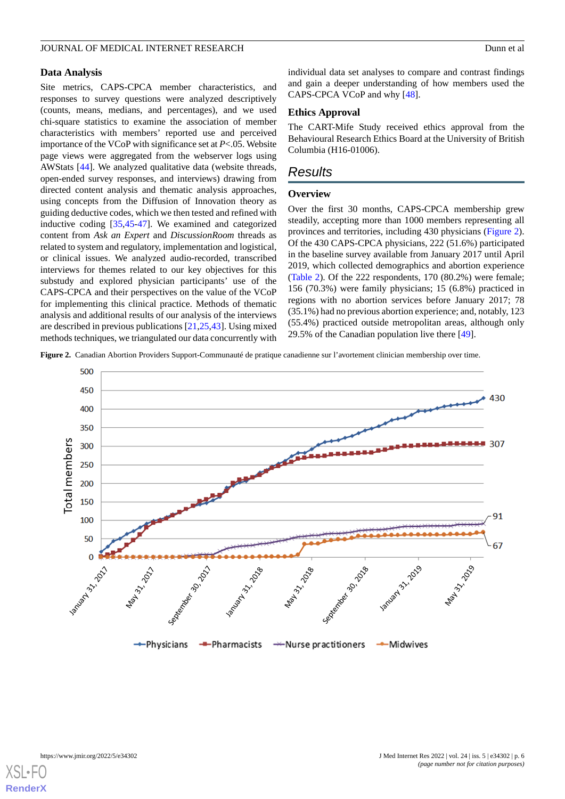#### **Data Analysis**

Site metrics, CAPS-CPCA member characteristics, and responses to survey questions were analyzed descriptively (counts, means, medians, and percentages), and we used chi-square statistics to examine the association of member characteristics with members' reported use and perceived importance of the VCoP with significance set at *P*<.05. Website page views were aggregated from the webserver logs using AWStats [\[44](#page-15-2)]. We analyzed qualitative data (website threads, open-ended survey responses, and interviews) drawing from directed content analysis and thematic analysis approaches, using concepts from the Diffusion of Innovation theory as guiding deductive codes, which we then tested and refined with inductive coding [\[35](#page-14-13),[45-](#page-15-3)[47](#page-15-4)]. We examined and categorized content from *Ask an Expert* and *DiscussionRoom* threads as related to system and regulatory, implementation and logistical, or clinical issues. We analyzed audio-recorded, transcribed interviews for themes related to our key objectives for this substudy and explored physician participants' use of the CAPS-CPCA and their perspectives on the value of the VCoP for implementing this clinical practice. Methods of thematic analysis and additional results of our analysis of the interviews are described in previous publications [[21](#page-14-2)[,25](#page-14-5),[43\]](#page-15-1). Using mixed methods techniques, we triangulated our data concurrently with

individual data set analyses to compare and contrast findings and gain a deeper understanding of how members used the CAPS-CPCA VCoP and why [[48\]](#page-15-5).

#### **Ethics Approval**

The CART-Mife Study received ethics approval from the Behavioural Research Ethics Board at the University of British Columbia (H16-01006).

### *Results*

#### **Overview**

Over the first 30 months, CAPS-CPCA membership grew steadily, accepting more than 1000 members representing all provinces and territories, including 430 physicians [\(Figure 2\)](#page-5-0). Of the 430 CAPS-CPCA physicians, 222 (51.6%) participated in the baseline survey available from January 2017 until April 2019, which collected demographics and abortion experience ([Table 2](#page-6-0)). Of the 222 respondents, 170 (80.2%) were female; 156 (70.3%) were family physicians; 15 (6.8%) practiced in regions with no abortion services before January 2017; 78 (35.1%) had no previous abortion experience; and, notably, 123 (55.4%) practiced outside metropolitan areas, although only 29.5% of the Canadian population live there [[49\]](#page-15-6).

<span id="page-5-0"></span>**Figure 2.** Canadian Abortion Providers Support-Communauté de pratique canadienne sur l'avortement clinician membership over time.



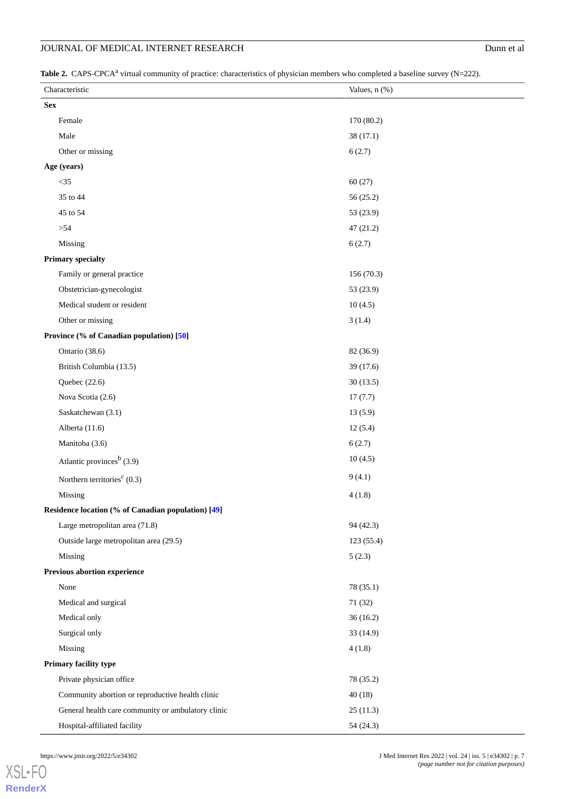### **JOURNAL OF MEDICAL INTERNET RESEARCH** Dunn et al

<span id="page-6-0"></span>Table 2. CAPS-CPCA<sup>a</sup> virtual community of practice: characteristics of physician members who completed a baseline survey (N=222).

| Characteristic                                     |                                                    | Values, n (%) |  |  |  |
|----------------------------------------------------|----------------------------------------------------|---------------|--|--|--|
|                                                    | <b>Sex</b>                                         |               |  |  |  |
|                                                    | Female                                             | 170 (80.2)    |  |  |  |
|                                                    | Male                                               | 38(17.1)      |  |  |  |
|                                                    | Other or missing                                   | 6(2.7)        |  |  |  |
|                                                    | Age (years)                                        |               |  |  |  |
|                                                    | $<35$                                              | 60(27)        |  |  |  |
|                                                    | 35 to 44                                           | 56(25.2)      |  |  |  |
|                                                    | 45 to 54                                           | 53 (23.9)     |  |  |  |
|                                                    | > 54                                               | 47(21.2)      |  |  |  |
|                                                    | Missing                                            | 6(2.7)        |  |  |  |
|                                                    | <b>Primary specialty</b>                           |               |  |  |  |
|                                                    | Family or general practice                         | 156 (70.3)    |  |  |  |
|                                                    | Obstetrician-gynecologist                          | 53 (23.9)     |  |  |  |
|                                                    | Medical student or resident                        | 10(4.5)       |  |  |  |
|                                                    | Other or missing                                   | 3(1.4)        |  |  |  |
|                                                    | Province (% of Canadian population) [50]           |               |  |  |  |
|                                                    | Ontario (38.6)                                     | 82 (36.9)     |  |  |  |
|                                                    | British Columbia (13.5)                            | 39 (17.6)     |  |  |  |
|                                                    | Quebec $(22.6)$                                    | 30(13.5)      |  |  |  |
|                                                    | Nova Scotia (2.6)                                  | 17(7.7)       |  |  |  |
|                                                    | Saskatchewan (3.1)                                 | 13(5.9)       |  |  |  |
|                                                    | Alberta (11.6)                                     | 12(5.4)       |  |  |  |
|                                                    | Manitoba (3.6)                                     | 6(2.7)        |  |  |  |
|                                                    | Atlantic provinces <sup>b</sup> (3.9)              | 10(4.5)       |  |  |  |
|                                                    | Northern territories <sup>c</sup> $(0.3)$          | 9(4.1)        |  |  |  |
|                                                    | Missing                                            | 4(1.8)        |  |  |  |
| Residence location (% of Canadian population) [49] |                                                    |               |  |  |  |
|                                                    | Large metropolitan area (71.8)                     | 94 (42.3)     |  |  |  |
|                                                    | Outside large metropolitan area (29.5)             | 123 (55.4)    |  |  |  |
|                                                    | Missing                                            | 5(2.3)        |  |  |  |
|                                                    | Previous abortion experience                       |               |  |  |  |
|                                                    | None                                               | 78 (35.1)     |  |  |  |
|                                                    | Medical and surgical                               | 71 (32)       |  |  |  |
|                                                    | Medical only                                       | 36(16.2)      |  |  |  |
|                                                    | Surgical only                                      | 33(14.9)      |  |  |  |
|                                                    | Missing                                            | 4(1.8)        |  |  |  |
| Primary facility type                              |                                                    |               |  |  |  |
|                                                    | Private physician office                           | 78 (35.2)     |  |  |  |
|                                                    | Community abortion or reproductive health clinic   | 40(18)        |  |  |  |
|                                                    | General health care community or ambulatory clinic | 25(11.3)      |  |  |  |
|                                                    | Hospital-affiliated facility                       | 54 (24.3)     |  |  |  |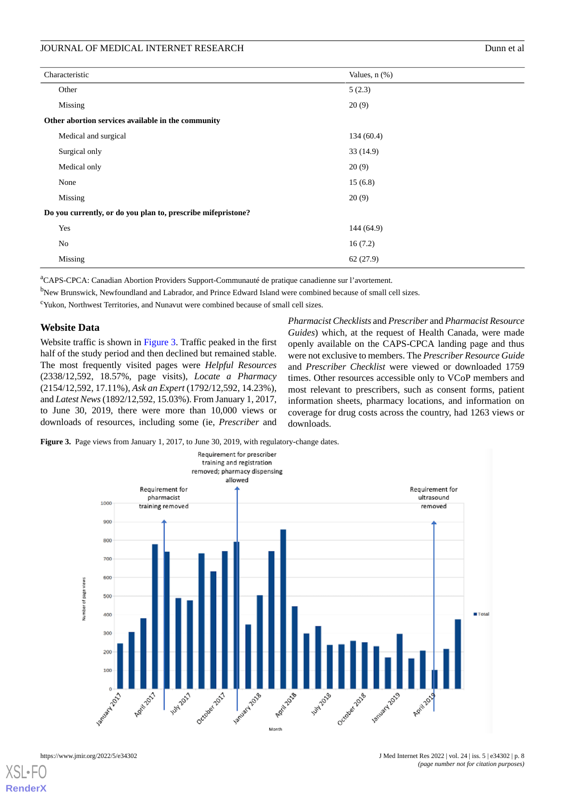| Characteristic                                               | Values, $n$ $(\%)$ |  |  |
|--------------------------------------------------------------|--------------------|--|--|
| Other                                                        | 5(2.3)             |  |  |
| Missing                                                      | 20(9)              |  |  |
| Other abortion services available in the community           |                    |  |  |
| Medical and surgical                                         | 134(60.4)          |  |  |
| Surgical only                                                | 33(14.9)           |  |  |
| Medical only                                                 | 20(9)              |  |  |
| None                                                         | 15(6.8)            |  |  |
| Missing                                                      | 20(9)              |  |  |
| Do you currently, or do you plan to, prescribe mifepristone? |                    |  |  |
| Yes                                                          | 144(64.9)          |  |  |
| No                                                           | 16(7.2)            |  |  |
| Missing                                                      | 62(27.9)           |  |  |
|                                                              |                    |  |  |

<sup>a</sup>CAPS-CPCA: Canadian Abortion Providers Support-Communauté de pratique canadienne sur l'avortement.

<sup>b</sup>New Brunswick, Newfoundland and Labrador, and Prince Edward Island were combined because of small cell sizes.

<sup>c</sup>Yukon, Northwest Territories, and Nunavut were combined because of small cell sizes.

### **Website Data**

Website traffic is shown in [Figure 3](#page-7-0). Traffic peaked in the first half of the study period and then declined but remained stable. The most frequently visited pages were *Helpful Resources* (2338/12,592, 18.57%, page visits), *Locate a Pharmacy* (2154/12,592, 17.11%), *Ask an Expert* (1792/12,592, 14.23%), and *Latest News*(1892/12,592, 15.03%). From January 1, 2017, to June 30, 2019, there were more than 10,000 views or downloads of resources, including some (ie, *Prescriber* and

*Pharmacist Checklists* and *Prescriber* and *Pharmacist Resource Guides*) which, at the request of Health Canada, were made openly available on the CAPS-CPCA landing page and thus were not exclusive to members. The *Prescriber Resource Guide* and *Prescriber Checklist* were viewed or downloaded 1759 times. Other resources accessible only to VCoP members and most relevant to prescribers, such as consent forms, patient information sheets, pharmacy locations, and information on coverage for drug costs across the country, had 1263 views or downloads.

<span id="page-7-0"></span>Figure 3. Page views from January 1, 2017, to June 30, 2019, with regulatory-change dates.

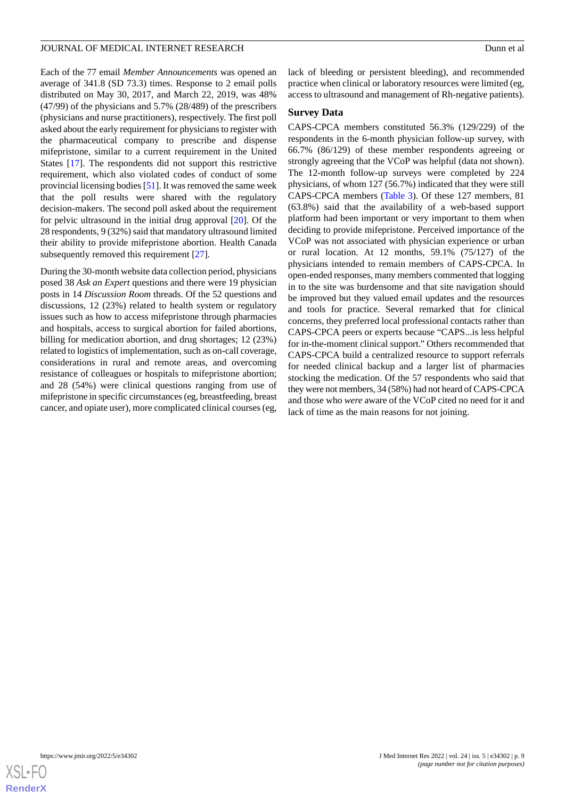Each of the 77 email *Member Announcements* was opened an average of 341.8 (SD 73.3) times. Response to 2 email polls distributed on May 30, 2017, and March 22, 2019, was 48% (47/99) of the physicians and 5.7% (28/489) of the prescribers (physicians and nurse practitioners), respectively. The first poll asked about the early requirement for physicians to register with the pharmaceutical company to prescribe and dispense mifepristone, similar to a current requirement in the United States [[17\]](#page-13-15). The respondents did not support this restrictive requirement, which also violated codes of conduct of some provincial licensing bodies [\[51](#page-15-8)]. It was removed the same week that the poll results were shared with the regulatory decision-makers. The second poll asked about the requirement for pelvic ultrasound in the initial drug approval [\[20](#page-14-1)]. Of the 28 respondents, 9 (32%) said that mandatory ultrasound limited their ability to provide mifepristone abortion. Health Canada subsequently removed this requirement [[27\]](#page-14-7).

During the 30-month website data collection period, physicians posed 38 *Ask an Expert* questions and there were 19 physician posts in 14 *Discussion Room* threads. Of the 52 questions and discussions, 12 (23%) related to health system or regulatory issues such as how to access mifepristone through pharmacies and hospitals, access to surgical abortion for failed abortions, billing for medication abortion, and drug shortages; 12 (23%) related to logistics of implementation, such as on-call coverage, considerations in rural and remote areas, and overcoming resistance of colleagues or hospitals to mifepristone abortion; and 28 (54%) were clinical questions ranging from use of mifepristone in specific circumstances (eg, breastfeeding, breast cancer, and opiate user), more complicated clinical courses (eg,

lack of bleeding or persistent bleeding), and recommended practice when clinical or laboratory resources were limited (eg, access to ultrasound and management of Rh-negative patients).

#### **Survey Data**

CAPS-CPCA members constituted 56.3% (129/229) of the respondents in the 6-month physician follow-up survey, with 66.7% (86/129) of these member respondents agreeing or strongly agreeing that the VCoP was helpful (data not shown). The 12-month follow-up surveys were completed by 224 physicians, of whom 127 (56.7%) indicated that they were still CAPS-CPCA members ([Table 3](#page-9-0)). Of these 127 members, 81 (63.8%) said that the availability of a web-based support platform had been important or very important to them when deciding to provide mifepristone. Perceived importance of the VCoP was not associated with physician experience or urban or rural location. At 12 months, 59.1% (75/127) of the physicians intended to remain members of CAPS-CPCA. In open-ended responses, many members commented that logging in to the site was burdensome and that site navigation should be improved but they valued email updates and the resources and tools for practice. Several remarked that for clinical concerns, they preferred local professional contacts rather than CAPS-CPCA peers or experts because "CAPS...is less helpful for in-the-moment clinical support." Others recommended that CAPS-CPCA build a centralized resource to support referrals for needed clinical backup and a larger list of pharmacies stocking the medication. Of the 57 respondents who said that they were not members, 34 (58%) had not heard of CAPS-CPCA and those who *were* aware of the VCoP cited no need for it and lack of time as the main reasons for not joining.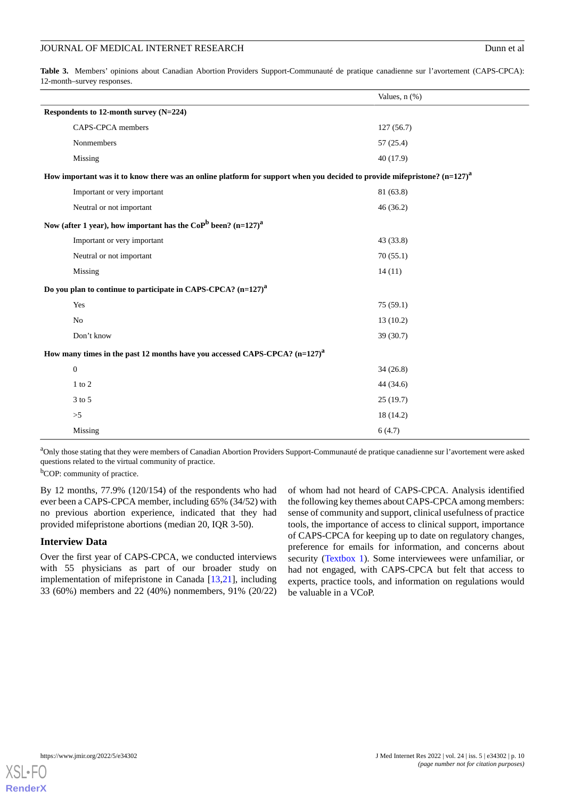<span id="page-9-0"></span>**Table 3.** Members' opinions about Canadian Abortion Providers Support-Communauté de pratique canadienne sur l'avortement (CAPS-CPCA): 12-month–survey responses.

|                                                                                                                               |                             | Values, n (%) |  |  |
|-------------------------------------------------------------------------------------------------------------------------------|-----------------------------|---------------|--|--|
| Respondents to 12-month survey (N=224)                                                                                        |                             |               |  |  |
|                                                                                                                               | CAPS-CPCA members           | 127(56.7)     |  |  |
|                                                                                                                               | Nonmembers                  | 57(25.4)      |  |  |
|                                                                                                                               | Missing                     | 40 (17.9)     |  |  |
| How important was it to know there was an online platform for support when you decided to provide mifepristone? $(n=127)^{a}$ |                             |               |  |  |
|                                                                                                                               | Important or very important | 81 (63.8)     |  |  |
|                                                                                                                               | Neutral or not important    | 46(36.2)      |  |  |
| Now (after 1 year), how important has the CoP <sup>b</sup> been? $(n=127)^{a}$                                                |                             |               |  |  |
|                                                                                                                               | Important or very important | 43(33.8)      |  |  |
|                                                                                                                               | Neutral or not important    | 70(55.1)      |  |  |
|                                                                                                                               | Missing                     | 14(11)        |  |  |
| Do you plan to continue to participate in CAPS-CPCA? $(n=127)^{a}$                                                            |                             |               |  |  |
|                                                                                                                               | Yes                         | 75(59.1)      |  |  |
|                                                                                                                               | No                          | 13(10.2)      |  |  |
|                                                                                                                               | Don't know                  | 39(30.7)      |  |  |
| How many times in the past 12 months have you accessed CAPS-CPCA? (n=127) <sup>a</sup>                                        |                             |               |  |  |
|                                                                                                                               | $\boldsymbol{0}$            | 34(26.8)      |  |  |
|                                                                                                                               | $1$ to $2$                  | 44 (34.6)     |  |  |
|                                                                                                                               | 3 to 5                      | 25(19.7)      |  |  |
|                                                                                                                               | $>\!\!5$                    | 18(14.2)      |  |  |
|                                                                                                                               | Missing                     | 6(4.7)        |  |  |

<sup>a</sup>Only those stating that they were members of Canadian Abortion Providers Support-Communauté de pratique canadienne sur l'avortement were asked questions related to the virtual community of practice.

<sup>b</sup>COP: community of practice.

By 12 months, 77.9% (120/154) of the respondents who had ever been a CAPS-CPCA member, including 65% (34/52) with no previous abortion experience, indicated that they had provided mifepristone abortions (median 20, IQR 3-50).

### **Interview Data**

Over the first year of CAPS-CPCA, we conducted interviews with 55 physicians as part of our broader study on implementation of mifepristone in Canada [\[13](#page-13-11),[21\]](#page-14-2), including 33 (60%) members and 22 (40%) nonmembers, 91% (20/22) of whom had not heard of CAPS-CPCA. Analysis identified the following key themes about CAPS-CPCA among members: sense of community and support, clinical usefulness of practice tools, the importance of access to clinical support, importance of CAPS-CPCA for keeping up to date on regulatory changes, preference for emails for information, and concerns about security [\(Textbox 1\)](#page-10-0). Some interviewees were unfamiliar, or had not engaged, with CAPS-CPCA but felt that access to experts, practice tools, and information on regulations would be valuable in a VCoP.

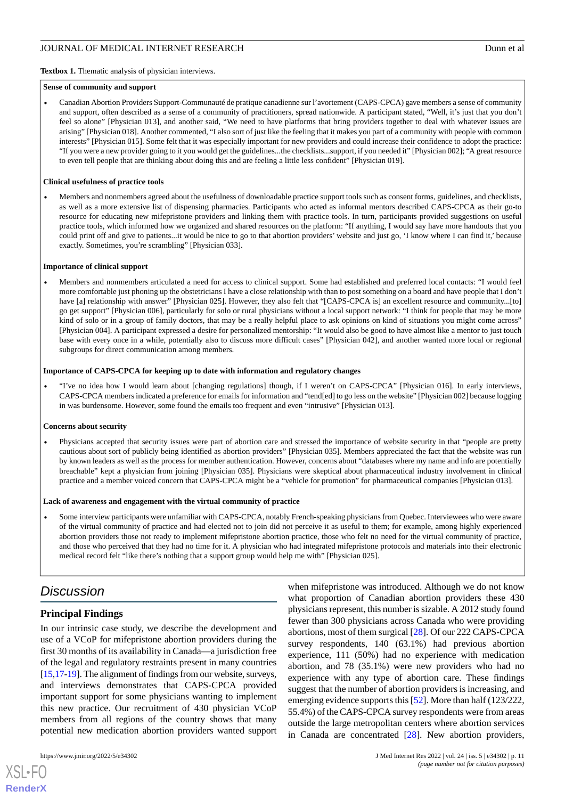#### <span id="page-10-0"></span>**Sense of community and support**

• Canadian Abortion Providers Support-Communauté de pratique canadienne sur l'avortement (CAPS-CPCA) gave members a sense of community and support, often described as a sense of a community of practitioners, spread nationwide. A participant stated, "Well, it's just that you don't feel so alone" [Physician 013], and another said, "We need to have platforms that bring providers together to deal with whatever issues are arising" [Physician 018]. Another commented, "I also sort of just like the feeling that it makes you part of a community with people with common interests" [Physician 015]. Some felt that it was especially important for new providers and could increase their confidence to adopt the practice: "If you were a new provider going to it you would get the guidelines...the checklists...support, if you needed it" [Physician 002]; "A great resource to even tell people that are thinking about doing this and are feeling a little less confident" [Physician 019].

#### **Clinical usefulness of practice tools**

• Members and nonmembers agreed about the usefulness of downloadable practice support tools such as consent forms, guidelines, and checklists, as well as a more extensive list of dispensing pharmacies. Participants who acted as informal mentors described CAPS-CPCA as their go-to resource for educating new mifepristone providers and linking them with practice tools. In turn, participants provided suggestions on useful practice tools, which informed how we organized and shared resources on the platform: "If anything, I would say have more handouts that you could print off and give to patients...it would be nice to go to that abortion providers' website and just go, 'I know where I can find it,' because exactly. Sometimes, you're scrambling" [Physician 033].

#### **Importance of clinical support**

• Members and nonmembers articulated a need for access to clinical support. Some had established and preferred local contacts: "I would feel more comfortable just phoning up the obstetricians I have a close relationship with than to post something on a board and have people that I don't have [a] relationship with answer" [Physician 025]. However, they also felt that "[CAPS-CPCA is] an excellent resource and community...[to] go get support" [Physician 006], particularly for solo or rural physicians without a local support network: "I think for people that may be more kind of solo or in a group of family doctors, that may be a really helpful place to ask opinions on kind of situations you might come across" [Physician 004]. A participant expressed a desire for personalized mentorship: "It would also be good to have almost like a mentor to just touch base with every once in a while, potentially also to discuss more difficult cases" [Physician 042], and another wanted more local or regional subgroups for direct communication among members.

#### **Importance of CAPS-CPCA for keeping up to date with information and regulatory changes**

• "I've no idea how I would learn about [changing regulations] though, if I weren't on CAPS-CPCA" [Physician 016]. In early interviews, CAPS-CPCA members indicated a preference for emails for information and "tend[ed] to go less on the website" [Physician 002] because logging in was burdensome. However, some found the emails too frequent and even "intrusive" [Physician 013].

#### **Concerns about security**

• Physicians accepted that security issues were part of abortion care and stressed the importance of website security in that "people are pretty cautious about sort of publicly being identified as abortion providers" [Physician 035]. Members appreciated the fact that the website was run by known leaders as well as the process for member authentication. However, concerns about "databases where my name and info are potentially breachable" kept a physician from joining [Physician 035]. Physicians were skeptical about pharmaceutical industry involvement in clinical practice and a member voiced concern that CAPS-CPCA might be a "vehicle for promotion" for pharmaceutical companies [Physician 013].

#### **Lack of awareness and engagement with the virtual community of practice**

• Some interview participants were unfamiliar with CAPS-CPCA, notably French-speaking physicians from Quebec. Interviewees who were aware of the virtual community of practice and had elected not to join did not perceive it as useful to them; for example, among highly experienced abortion providers those not ready to implement mifepristone abortion practice, those who felt no need for the virtual community of practice, and those who perceived that they had no time for it. A physician who had integrated mifepristone protocols and materials into their electronic medical record felt "like there's nothing that a support group would help me with" [Physician 025].

### *Discussion*

### **Principal Findings**

In our intrinsic case study, we describe the development and use of a VCoP for mifepristone abortion providers during the first 30 months of its availability in Canada—a jurisdiction free of the legal and regulatory restraints present in many countries [[15,](#page-13-13)[17-](#page-13-15)[19\]](#page-14-0). The alignment of findings from our website, surveys, and interviews demonstrates that CAPS-CPCA provided important support for some physicians wanting to implement this new practice. Our recruitment of 430 physician VCoP members from all regions of the country shows that many potential new medication abortion providers wanted support

 $XS$  $\cdot$ FC **[RenderX](http://www.renderx.com/)** when mifepristone was introduced. Although we do not know what proportion of Canadian abortion providers these 430 physicians represent, this number is sizable. A 2012 study found fewer than 300 physicians across Canada who were providing abortions, most of them surgical [[28\]](#page-14-8). Of our 222 CAPS-CPCA survey respondents, 140 (63.1%) had previous abortion experience, 111 (50%) had no experience with medication abortion, and 78 (35.1%) were new providers who had no experience with any type of abortion care. These findings suggest that the number of abortion providers is increasing, and emerging evidence supports this [\[52](#page-15-9)]. More than half (123/222, 55.4%) of the CAPS-CPCA survey respondents were from areas outside the large metropolitan centers where abortion services in Canada are concentrated [\[28](#page-14-8)]. New abortion providers,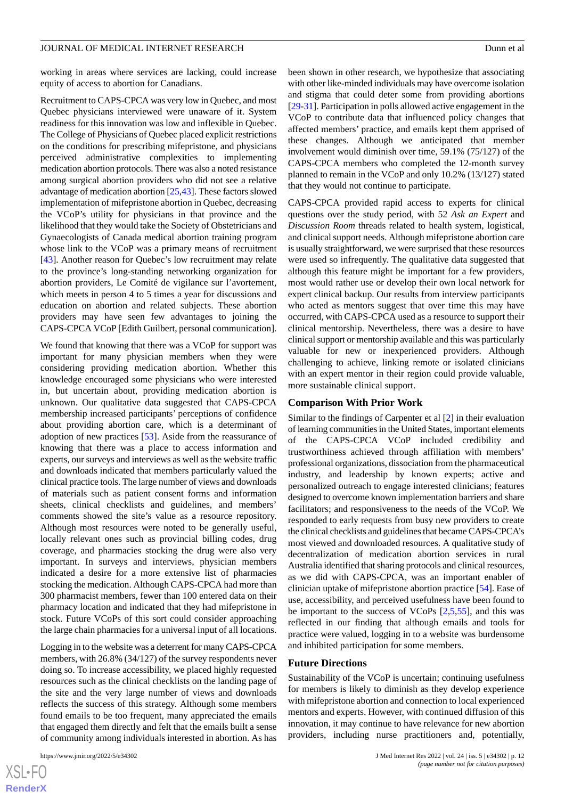working in areas where services are lacking, could increase equity of access to abortion for Canadians.

Recruitment to CAPS-CPCA was very low in Quebec, and most Quebec physicians interviewed were unaware of it. System readiness for this innovation was low and inflexible in Quebec. The College of Physicians of Quebec placed explicit restrictions on the conditions for prescribing mifepristone, and physicians perceived administrative complexities to implementing medication abortion protocols. There was also a noted resistance among surgical abortion providers who did not see a relative advantage of medication abortion [\[25](#page-14-5),[43\]](#page-15-1). These factors slowed implementation of mifepristone abortion in Quebec, decreasing the VCoP's utility for physicians in that province and the likelihood that they would take the Society of Obstetricians and Gynaecologists of Canada medical abortion training program whose link to the VCoP was a primary means of recruitment [[43\]](#page-15-1). Another reason for Quebec's low recruitment may relate to the province's long-standing networking organization for abortion providers, Le Comité de vigilance sur l'avortement, which meets in person 4 to 5 times a year for discussions and education on abortion and related subjects. These abortion providers may have seen few advantages to joining the CAPS-CPCA VCoP [Edith Guilbert, personal communication].

We found that knowing that there was a VCoP for support was important for many physician members when they were considering providing medication abortion. Whether this knowledge encouraged some physicians who were interested in, but uncertain about, providing medication abortion is unknown. Our qualitative data suggested that CAPS-CPCA membership increased participants' perceptions of confidence about providing abortion care, which is a determinant of adoption of new practices [\[53](#page-15-10)]. Aside from the reassurance of knowing that there was a place to access information and experts, our surveys and interviews as well as the website traffic and downloads indicated that members particularly valued the clinical practice tools. The large number of views and downloads of materials such as patient consent forms and information sheets, clinical checklists and guidelines, and members' comments showed the site's value as a resource repository. Although most resources were noted to be generally useful, locally relevant ones such as provincial billing codes, drug coverage, and pharmacies stocking the drug were also very important. In surveys and interviews, physician members indicated a desire for a more extensive list of pharmacies stocking the medication. Although CAPS-CPCA had more than 300 pharmacist members, fewer than 100 entered data on their pharmacy location and indicated that they had mifepristone in stock. Future VCoPs of this sort could consider approaching the large chain pharmacies for a universal input of all locations.

Logging in to the website was a deterrent for many CAPS-CPCA members, with 26.8% (34/127) of the survey respondents never doing so. To increase accessibility, we placed highly requested resources such as the clinical checklists on the landing page of the site and the very large number of views and downloads reflects the success of this strategy. Although some members found emails to be too frequent, many appreciated the emails that engaged them directly and felt that the emails built a sense of community among individuals interested in abortion. As has

[XSL](http://www.w3.org/Style/XSL)•FO **[RenderX](http://www.renderx.com/)**

been shown in other research, we hypothesize that associating with other like-minded individuals may have overcome isolation and stigma that could deter some from providing abortions [[29](#page-14-9)[-31](#page-14-20)]. Participation in polls allowed active engagement in the VCoP to contribute data that influenced policy changes that affected members' practice, and emails kept them apprised of these changes. Although we anticipated that member involvement would diminish over time, 59.1% (75/127) of the CAPS-CPCA members who completed the 12-month survey planned to remain in the VCoP and only 10.2% (13/127) stated that they would not continue to participate.

CAPS-CPCA provided rapid access to experts for clinical questions over the study period, with 52 *Ask an Expert* and *Discussion Room* threads related to health system, logistical, and clinical support needs. Although mifepristone abortion care is usually straightforward, we were surprised that these resources were used so infrequently. The qualitative data suggested that although this feature might be important for a few providers, most would rather use or develop their own local network for expert clinical backup. Our results from interview participants who acted as mentors suggest that over time this may have occurred, with CAPS-CPCA used as a resource to support their clinical mentorship. Nevertheless, there was a desire to have clinical support or mentorship available and this was particularly valuable for new or inexperienced providers. Although challenging to achieve, linking remote or isolated clinicians with an expert mentor in their region could provide valuable, more sustainable clinical support.

#### **Comparison With Prior Work**

Similar to the findings of Carpenter et al [\[2](#page-13-1)] in their evaluation of learning communities in the United States, important elements of the CAPS-CPCA VCoP included credibility and trustworthiness achieved through affiliation with members' professional organizations, dissociation from the pharmaceutical industry, and leadership by known experts; active and personalized outreach to engage interested clinicians; features designed to overcome known implementation barriers and share facilitators; and responsiveness to the needs of the VCoP. We responded to early requests from busy new providers to create the clinical checklists and guidelines that became CAPS-CPCA's most viewed and downloaded resources. A qualitative study of decentralization of medication abortion services in rural Australia identified that sharing protocols and clinical resources, as we did with CAPS-CPCA, was an important enabler of clinician uptake of mifepristone abortion practice [\[54](#page-15-11)]. Ease of use, accessibility, and perceived usefulness have been found to be important to the success of VCoPs [[2](#page-13-1)[,5](#page-13-5),[55\]](#page-15-12), and this was reflected in our finding that although emails and tools for practice were valued, logging in to a website was burdensome and inhibited participation for some members.

#### **Future Directions**

Sustainability of the VCoP is uncertain; continuing usefulness for members is likely to diminish as they develop experience with mifepristone abortion and connection to local experienced mentors and experts. However, with continued diffusion of this innovation, it may continue to have relevance for new abortion providers, including nurse practitioners and, potentially,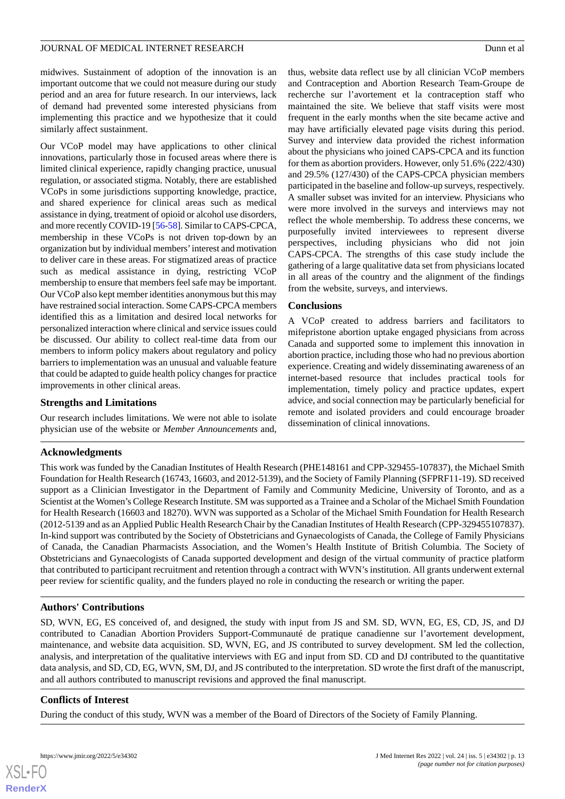midwives. Sustainment of adoption of the innovation is an important outcome that we could not measure during our study period and an area for future research. In our interviews, lack of demand had prevented some interested physicians from implementing this practice and we hypothesize that it could similarly affect sustainment.

Our VCoP model may have applications to other clinical innovations, particularly those in focused areas where there is limited clinical experience, rapidly changing practice, unusual regulation, or associated stigma. Notably, there are established VCoPs in some jurisdictions supporting knowledge, practice, and shared experience for clinical areas such as medical assistance in dying, treatment of opioid or alcohol use disorders, and more recently COVID-19 [[56-](#page-15-13)[58\]](#page-15-14). Similar to CAPS-CPCA, membership in these VCoPs is not driven top-down by an organization but by individual members'interest and motivation to deliver care in these areas. For stigmatized areas of practice such as medical assistance in dying, restricting VCoP membership to ensure that members feel safe may be important. Our VCoP also kept member identities anonymous but this may have restrained social interaction. Some CAPS-CPCA members identified this as a limitation and desired local networks for personalized interaction where clinical and service issues could be discussed. Our ability to collect real-time data from our members to inform policy makers about regulatory and policy barriers to implementation was an unusual and valuable feature that could be adapted to guide health policy changes for practice improvements in other clinical areas.

### **Strengths and Limitations**

Our research includes limitations. We were not able to isolate physician use of the website or *Member Announcements* and,

thus, website data reflect use by all clinician VCoP members and Contraception and Abortion Research Team-Groupe de recherche sur l'avortement et la contraception staff who maintained the site. We believe that staff visits were most frequent in the early months when the site became active and may have artificially elevated page visits during this period. Survey and interview data provided the richest information about the physicians who joined CAPS-CPCA and its function for them as abortion providers. However, only 51.6% (222/430) and 29.5% (127/430) of the CAPS-CPCA physician members participated in the baseline and follow-up surveys, respectively. A smaller subset was invited for an interview. Physicians who were more involved in the surveys and interviews may not reflect the whole membership. To address these concerns, we purposefully invited interviewees to represent diverse perspectives, including physicians who did not join CAPS-CPCA. The strengths of this case study include the gathering of a large qualitative data set from physicians located in all areas of the country and the alignment of the findings from the website, surveys, and interviews.

### **Conclusions**

A VCoP created to address barriers and facilitators to mifepristone abortion uptake engaged physicians from across Canada and supported some to implement this innovation in abortion practice, including those who had no previous abortion experience. Creating and widely disseminating awareness of an internet-based resource that includes practical tools for implementation, timely policy and practice updates, expert advice, and social connection may be particularly beneficial for remote and isolated providers and could encourage broader dissemination of clinical innovations.

### **Acknowledgments**

This work was funded by the Canadian Institutes of Health Research (PHE148161 and CPP-329455-107837), the Michael Smith Foundation for Health Research (16743, 16603, and 2012-5139), and the Society of Family Planning (SFPRF11-19). SD received support as a Clinician Investigator in the Department of Family and Community Medicine, University of Toronto, and as a Scientist at the Women's College Research Institute. SM was supported as a Trainee and a Scholar of the Michael Smith Foundation for Health Research (16603 and 18270). WVN was supported as a Scholar of the Michael Smith Foundation for Health Research (2012-5139 and as an Applied Public Health Research Chair by the Canadian Institutes of Health Research (CPP-329455107837). In-kind support was contributed by the Society of Obstetricians and Gynaecologists of Canada, the College of Family Physicians of Canada, the Canadian Pharmacists Association, and the Women's Health Institute of British Columbia. The Society of Obstetricians and Gynaecologists of Canada supported development and design of the virtual community of practice platform that contributed to participant recruitment and retention through a contract with WVN's institution. All grants underwent external peer review for scientific quality, and the funders played no role in conducting the research or writing the paper.

### **Authors' Contributions**

SD, WVN, EG, ES conceived of, and designed, the study with input from JS and SM. SD, WVN, EG, ES, CD, JS, and DJ contributed to Canadian Abortion Providers Support-Communauté de pratique canadienne sur l'avortement development, maintenance, and website data acquisition. SD, WVN, EG, and JS contributed to survey development. SM led the collection, analysis, and interpretation of the qualitative interviews with EG and input from SD. CD and DJ contributed to the quantitative data analysis, and SD, CD, EG, WVN, SM, DJ, and JS contributed to the interpretation. SD wrote the first draft of the manuscript, and all authors contributed to manuscript revisions and approved the final manuscript.

### **Conflicts of Interest**

During the conduct of this study, WVN was a member of the Board of Directors of the Society of Family Planning.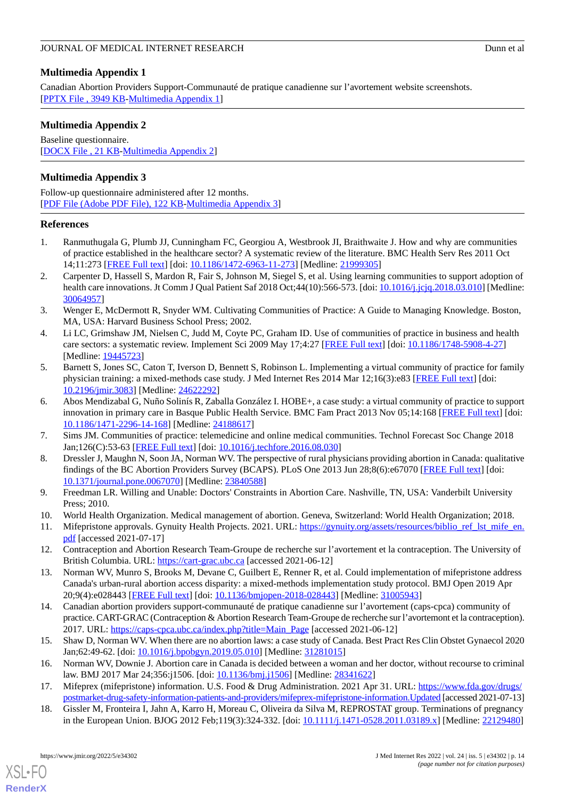### <span id="page-13-17"></span>**Multimedia Appendix 1**

Canadian Abortion Providers Support-Communauté de pratique canadienne sur l'avortement website screenshots. [[PPTX File , 3949 KB](https://jmir.org/api/download?alt_name=jmir_v24i5e34302_app1.pptx&filename=6dbdceb355f56fdb047b21ce6589d86d.pptx)-[Multimedia Appendix 1\]](https://jmir.org/api/download?alt_name=jmir_v24i5e34302_app1.pptx&filename=6dbdceb355f56fdb047b21ce6589d86d.pptx)

### <span id="page-13-18"></span>**Multimedia Appendix 2**

Baseline questionnaire. [[DOCX File , 21 KB](https://jmir.org/api/download?alt_name=jmir_v24i5e34302_app2.docx&filename=928378194d7b486467fa5ec591e92d69.docx)-[Multimedia Appendix 2\]](https://jmir.org/api/download?alt_name=jmir_v24i5e34302_app2.docx&filename=928378194d7b486467fa5ec591e92d69.docx)

### <span id="page-13-19"></span>**Multimedia Appendix 3**

Follow-up questionnaire administered after 12 months. [[PDF File \(Adobe PDF File\), 122 KB](https://jmir.org/api/download?alt_name=jmir_v24i5e34302_app3.pdf&filename=bdf57145890ab635263be75a061aefe0.pdf)-[Multimedia Appendix 3\]](https://jmir.org/api/download?alt_name=jmir_v24i5e34302_app3.pdf&filename=bdf57145890ab635263be75a061aefe0.pdf)

### <span id="page-13-0"></span>**References**

- <span id="page-13-1"></span>1. Ranmuthugala G, Plumb JJ, Cunningham FC, Georgiou A, Westbrook JI, Braithwaite J. How and why are communities of practice established in the healthcare sector? A systematic review of the literature. BMC Health Serv Res 2011 Oct 14;11:273 [[FREE Full text](https://bmchealthservres.biomedcentral.com/articles/10.1186/1472-6963-11-273)] [doi: [10.1186/1472-6963-11-273\]](http://dx.doi.org/10.1186/1472-6963-11-273) [Medline: [21999305\]](http://www.ncbi.nlm.nih.gov/entrez/query.fcgi?cmd=Retrieve&db=PubMed&list_uids=21999305&dopt=Abstract)
- <span id="page-13-2"></span>2. Carpenter D, Hassell S, Mardon R, Fair S, Johnson M, Siegel S, et al. Using learning communities to support adoption of health care innovations. Jt Comm J Qual Patient Saf 2018 Oct;44(10):566-573. [doi: [10.1016/j.jcjq.2018.03.010\]](http://dx.doi.org/10.1016/j.jcjq.2018.03.010) [Medline: [30064957](http://www.ncbi.nlm.nih.gov/entrez/query.fcgi?cmd=Retrieve&db=PubMed&list_uids=30064957&dopt=Abstract)]
- <span id="page-13-3"></span>3. Wenger E, McDermott R, Snyder WM. Cultivating Communities of Practice: A Guide to Managing Knowledge. Boston, MA, USA: Harvard Business School Press; 2002.
- <span id="page-13-5"></span>4. Li LC, Grimshaw JM, Nielsen C, Judd M, Coyte PC, Graham ID. Use of communities of practice in business and health care sectors: a systematic review. Implement Sci 2009 May 17;4:27 [\[FREE Full text\]](https://implementationscience.biomedcentral.com/articles/10.1186/1748-5908-4-27) [doi: [10.1186/1748-5908-4-27](http://dx.doi.org/10.1186/1748-5908-4-27)] [Medline: [19445723](http://www.ncbi.nlm.nih.gov/entrez/query.fcgi?cmd=Retrieve&db=PubMed&list_uids=19445723&dopt=Abstract)]
- <span id="page-13-4"></span>5. Barnett S, Jones SC, Caton T, Iverson D, Bennett S, Robinson L. Implementing a virtual community of practice for family physician training: a mixed-methods case study. J Med Internet Res 2014 Mar 12;16(3):e83 [\[FREE Full text\]](https://www.jmir.org/2014/3/e83/) [doi: [10.2196/jmir.3083](http://dx.doi.org/10.2196/jmir.3083)] [Medline: [24622292](http://www.ncbi.nlm.nih.gov/entrez/query.fcgi?cmd=Retrieve&db=PubMed&list_uids=24622292&dopt=Abstract)]
- <span id="page-13-16"></span><span id="page-13-6"></span>6. Abos Mendizabal G, Nuño Solinís R, Zaballa González I. HOBE+, a case study: a virtual community of practice to support innovation in primary care in Basque Public Health Service. BMC Fam Pract 2013 Nov 05;14:168 [[FREE Full text](https://bmcfampract.biomedcentral.com/articles/10.1186/1471-2296-14-168)] [doi: [10.1186/1471-2296-14-168\]](http://dx.doi.org/10.1186/1471-2296-14-168) [Medline: [24188617\]](http://www.ncbi.nlm.nih.gov/entrez/query.fcgi?cmd=Retrieve&db=PubMed&list_uids=24188617&dopt=Abstract)
- <span id="page-13-7"></span>7. Sims JM. Communities of practice: telemedicine and online medical communities. Technol Forecast Soc Change 2018 Jan;126(C):53-63 [[FREE Full text](https://doi.org/10.1016/j.techfore.2016.08.030)] [doi: [10.1016/j.techfore.2016.08.030](http://dx.doi.org/10.1016/j.techfore.2016.08.030)]
- <span id="page-13-9"></span><span id="page-13-8"></span>8. Dressler J, Maughn N, Soon JA, Norman WV. The perspective of rural physicians providing abortion in Canada: qualitative findings of the BC Abortion Providers Survey (BCAPS). PLoS One 2013 Jun 28;8(6):e67070 [\[FREE Full text\]](https://dx.plos.org/10.1371/journal.pone.0067070) [doi: [10.1371/journal.pone.0067070\]](http://dx.doi.org/10.1371/journal.pone.0067070) [Medline: [23840588](http://www.ncbi.nlm.nih.gov/entrez/query.fcgi?cmd=Retrieve&db=PubMed&list_uids=23840588&dopt=Abstract)]
- <span id="page-13-10"></span>9. Freedman LR. Willing and Unable: Doctors' Constraints in Abortion Care. Nashville, TN, USA: Vanderbilt University Press; 2010.
- <span id="page-13-11"></span>10. World Health Organization. Medical management of abortion. Geneva, Switzerland: World Health Organization; 2018.
- 11. Mifepristone approvals. Gynuity Health Projects. 2021. URL: [https://gynuity.org/assets/resources/biblio\\_ref\\_lst\\_mife\\_en.](https://gynuity.org/assets/resources/biblio_ref_lst_mife_en.pdf) [pdf](https://gynuity.org/assets/resources/biblio_ref_lst_mife_en.pdf) [accessed 2021-07-17]
- <span id="page-13-12"></span>12. Contraception and Abortion Research Team-Groupe de recherche sur l'avortement et la contraception. The University of British Columbia. URL: <https://cart-grac.ubc.ca> [accessed 2021-06-12]
- <span id="page-13-13"></span>13. Norman WV, Munro S, Brooks M, Devane C, Guilbert E, Renner R, et al. Could implementation of mifepristone address Canada's urban-rural abortion access disparity: a mixed-methods implementation study protocol. BMJ Open 2019 Apr 20;9(4):e028443 [\[FREE Full text](https://bmjopen.bmj.com/lookup/pmidlookup?view=long&pmid=31005943)] [doi: [10.1136/bmjopen-2018-028443\]](http://dx.doi.org/10.1136/bmjopen-2018-028443) [Medline: [31005943](http://www.ncbi.nlm.nih.gov/entrez/query.fcgi?cmd=Retrieve&db=PubMed&list_uids=31005943&dopt=Abstract)]
- <span id="page-13-15"></span><span id="page-13-14"></span>14. Canadian abortion providers support-communauté de pratique canadienne sur l'avortement (caps-cpca) community of practice. CART-GRAC (Contraception & Abortion Research Team-Groupe de recherche sur l'avortemont et la contraception). 2017. URL: [https://caps-cpca.ubc.ca/index.php?title=Main\\_Page](https://caps-cpca.ubc.ca/index.php?title=Main_Page) [accessed 2021-06-12]
- 15. Shaw D, Norman WV. When there are no abortion laws: a case study of Canada. Best Pract Res Clin Obstet Gynaecol 2020 Jan;62:49-62. [doi: [10.1016/j.bpobgyn.2019.05.010](http://dx.doi.org/10.1016/j.bpobgyn.2019.05.010)] [Medline: [31281015\]](http://www.ncbi.nlm.nih.gov/entrez/query.fcgi?cmd=Retrieve&db=PubMed&list_uids=31281015&dopt=Abstract)
- 16. Norman WV, Downie J. Abortion care in Canada is decided between a woman and her doctor, without recourse to criminal law. BMJ 2017 Mar 24;356:j1506. [doi: [10.1136/bmj.j1506\]](http://dx.doi.org/10.1136/bmj.j1506) [Medline: [28341622](http://www.ncbi.nlm.nih.gov/entrez/query.fcgi?cmd=Retrieve&db=PubMed&list_uids=28341622&dopt=Abstract)]
- 17. Mifeprex (mifepristone) information. U.S. Food & Drug Administration. 2021 Apr 31. URL: [https://www.fda.gov/drugs/](https://www.fda.gov/drugs/postmarket-drug-safety-information-patients-and-providers/mifeprex-mifepristone-information.Updated) [postmarket-drug-safety-information-patients-and-providers/mifeprex-mifepristone-information.Updated](https://www.fda.gov/drugs/postmarket-drug-safety-information-patients-and-providers/mifeprex-mifepristone-information.Updated) [accessed 2021-07-13]
- 18. Gissler M, Fronteira I, Jahn A, Karro H, Moreau C, Oliveira da Silva M, REPROSTAT group. Terminations of pregnancy in the European Union. BJOG 2012 Feb;119(3):324-332. [doi: [10.1111/j.1471-0528.2011.03189.x\]](http://dx.doi.org/10.1111/j.1471-0528.2011.03189.x) [Medline: [22129480](http://www.ncbi.nlm.nih.gov/entrez/query.fcgi?cmd=Retrieve&db=PubMed&list_uids=22129480&dopt=Abstract)]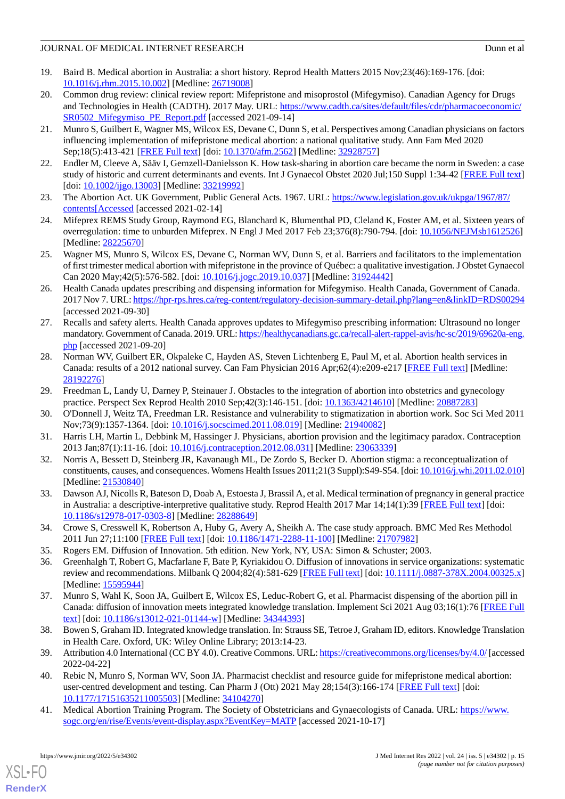- <span id="page-14-0"></span>19. Baird B. Medical abortion in Australia: a short history. Reprod Health Matters 2015 Nov;23(46):169-176. [doi: [10.1016/j.rhm.2015.10.002\]](http://dx.doi.org/10.1016/j.rhm.2015.10.002) [Medline: [26719008\]](http://www.ncbi.nlm.nih.gov/entrez/query.fcgi?cmd=Retrieve&db=PubMed&list_uids=26719008&dopt=Abstract)
- <span id="page-14-1"></span>20. Common drug review: clinical review report: Mifepristone and misoprostol (Mifegymiso). Canadian Agency for Drugs and Technologies in Health (CADTH). 2017 May. URL: [https://www.cadth.ca/sites/default/files/cdr/pharmacoeconomic/](https://www.cadth.ca/sites/default/files/cdr/pharmacoeconomic/SR0502_Mifegymiso_PE_Report.pdf) SR0502 Mifegymiso PE\_Report.pdf [accessed 2021-09-14]
- <span id="page-14-2"></span>21. Munro S, Guilbert E, Wagner MS, Wilcox ES, Devane C, Dunn S, et al. Perspectives among Canadian physicians on factors influencing implementation of mifepristone medical abortion: a national qualitative study. Ann Fam Med 2020 Sep;18(5):413-421 [[FREE Full text](http://www.annfammed.org/cgi/pmidlookup?view=long&pmid=32928757)] [doi: [10.1370/afm.2562\]](http://dx.doi.org/10.1370/afm.2562) [Medline: [32928757\]](http://www.ncbi.nlm.nih.gov/entrez/query.fcgi?cmd=Retrieve&db=PubMed&list_uids=32928757&dopt=Abstract)
- <span id="page-14-3"></span>22. Endler M, Cleeve A, Sääv I, Gemzell-Danielsson K. How task-sharing in abortion care became the norm in Sweden: a case study of historic and current determinants and events. Int J Gynaecol Obstet 2020 Jul;150 Suppl 1:34-42 [\[FREE Full text](http://europepmc.org/abstract/MED/33219992)] [doi: [10.1002/ijgo.13003](http://dx.doi.org/10.1002/ijgo.13003)] [Medline: [33219992](http://www.ncbi.nlm.nih.gov/entrez/query.fcgi?cmd=Retrieve&db=PubMed&list_uids=33219992&dopt=Abstract)]
- <span id="page-14-4"></span>23. The Abortion Act. UK Government, Public General Acts. 1967. URL: [https://www.legislation.gov.uk/ukpga/1967/87/](https://www.legislation.gov.uk/ukpga/1967/87/contents[Accessed) [contents\[Accessed](https://www.legislation.gov.uk/ukpga/1967/87/contents[Accessed) [accessed 2021-02-14]
- <span id="page-14-5"></span>24. Mifeprex REMS Study Group, Raymond EG, Blanchard K, Blumenthal PD, Cleland K, Foster AM, et al. Sixteen years of overregulation: time to unburden Mifeprex. N Engl J Med 2017 Feb 23;376(8):790-794. [doi: [10.1056/NEJMsb1612526\]](http://dx.doi.org/10.1056/NEJMsb1612526) [Medline: [28225670](http://www.ncbi.nlm.nih.gov/entrez/query.fcgi?cmd=Retrieve&db=PubMed&list_uids=28225670&dopt=Abstract)]
- <span id="page-14-6"></span>25. Wagner MS, Munro S, Wilcox ES, Devane C, Norman WV, Dunn S, et al. Barriers and facilitators to the implementation of first trimester medical abortion with mifepristone in the province of Québec: a qualitative investigation. J Obstet Gynaecol Can 2020 May;42(5):576-582. [doi: [10.1016/j.jogc.2019.10.037](http://dx.doi.org/10.1016/j.jogc.2019.10.037)] [Medline: [31924442\]](http://www.ncbi.nlm.nih.gov/entrez/query.fcgi?cmd=Retrieve&db=PubMed&list_uids=31924442&dopt=Abstract)
- <span id="page-14-7"></span>26. Health Canada updates prescribing and dispensing information for Mifegymiso. Health Canada, Government of Canada. 2017 Nov 7. URL:<https://hpr-rps.hres.ca/reg-content/regulatory-decision-summary-detail.php?lang=en&linkID=RDS00294> [accessed 2021-09-30]
- <span id="page-14-8"></span>27. Recalls and safety alerts. Health Canada approves updates to Mifegymiso prescribing information: Ultrasound no longer mandatory. Government of Canada. 2019. URL: [https://healthycanadians.gc.ca/recall-alert-rappel-avis/hc-sc/2019/69620a-eng.](https://healthycanadians.gc.ca/recall-alert-rappel-avis/hc-sc/2019/69620a-eng.php) [php](https://healthycanadians.gc.ca/recall-alert-rappel-avis/hc-sc/2019/69620a-eng.php) [accessed 2021-09-20]
- <span id="page-14-9"></span>28. Norman WV, Guilbert ER, Okpaleke C, Hayden AS, Steven Lichtenberg E, Paul M, et al. Abortion health services in Canada: results of a 2012 national survey. Can Fam Physician 2016 Apr;62(4):e209-e217 [[FREE Full text\]](http://www.cfp.ca/cgi/pmidlookup?view=long&pmid=28192276) [Medline: [28192276](http://www.ncbi.nlm.nih.gov/entrez/query.fcgi?cmd=Retrieve&db=PubMed&list_uids=28192276&dopt=Abstract)]
- <span id="page-14-20"></span>29. Freedman L, Landy U, Darney P, Steinauer J. Obstacles to the integration of abortion into obstetrics and gynecology practice. Perspect Sex Reprod Health 2010 Sep;42(3):146-151. [doi: [10.1363/4214610\]](http://dx.doi.org/10.1363/4214610) [Medline: [20887283](http://www.ncbi.nlm.nih.gov/entrez/query.fcgi?cmd=Retrieve&db=PubMed&list_uids=20887283&dopt=Abstract)]
- <span id="page-14-10"></span>30. O'Donnell J, Weitz TA, Freedman LR. Resistance and vulnerability to stigmatization in abortion work. Soc Sci Med 2011 Nov;73(9):1357-1364. [doi: [10.1016/j.socscimed.2011.08.019](http://dx.doi.org/10.1016/j.socscimed.2011.08.019)] [Medline: [21940082](http://www.ncbi.nlm.nih.gov/entrez/query.fcgi?cmd=Retrieve&db=PubMed&list_uids=21940082&dopt=Abstract)]
- <span id="page-14-11"></span>31. Harris LH, Martin L, Debbink M, Hassinger J. Physicians, abortion provision and the legitimacy paradox. Contraception 2013 Jan;87(1):11-16. [doi: [10.1016/j.contraception.2012.08.031\]](http://dx.doi.org/10.1016/j.contraception.2012.08.031) [Medline: [23063339](http://www.ncbi.nlm.nih.gov/entrez/query.fcgi?cmd=Retrieve&db=PubMed&list_uids=23063339&dopt=Abstract)]
- <span id="page-14-12"></span>32. Norris A, Bessett D, Steinberg JR, Kavanaugh ML, De Zordo S, Becker D. Abortion stigma: a reconceptualization of constituents, causes, and consequences. Womens Health Issues 2011;21(3 Suppl):S49-S54. [doi: [10.1016/j.whi.2011.02.010\]](http://dx.doi.org/10.1016/j.whi.2011.02.010) [Medline: [21530840](http://www.ncbi.nlm.nih.gov/entrez/query.fcgi?cmd=Retrieve&db=PubMed&list_uids=21530840&dopt=Abstract)]
- <span id="page-14-14"></span><span id="page-14-13"></span>33. Dawson AJ, Nicolls R, Bateson D, Doab A, Estoesta J, Brassil A, et al. Medical termination of pregnancy in general practice in Australia: a descriptive-interpretive qualitative study. Reprod Health 2017 Mar 14;14(1):39 [[FREE Full text](https://reproductive-health-journal.biomedcentral.com/articles/10.1186/s12978-017-0303-8)] [doi: [10.1186/s12978-017-0303-8\]](http://dx.doi.org/10.1186/s12978-017-0303-8) [Medline: [28288649](http://www.ncbi.nlm.nih.gov/entrez/query.fcgi?cmd=Retrieve&db=PubMed&list_uids=28288649&dopt=Abstract)]
- <span id="page-14-15"></span>34. Crowe S, Cresswell K, Robertson A, Huby G, Avery A, Sheikh A. The case study approach. BMC Med Res Methodol 2011 Jun 27;11:100 [[FREE Full text](https://bmcmedresmethodol.biomedcentral.com/articles/10.1186/1471-2288-11-100)] [doi: [10.1186/1471-2288-11-100\]](http://dx.doi.org/10.1186/1471-2288-11-100) [Medline: [21707982\]](http://www.ncbi.nlm.nih.gov/entrez/query.fcgi?cmd=Retrieve&db=PubMed&list_uids=21707982&dopt=Abstract)
- 35. Rogers EM. Diffusion of Innovation. 5th edition. New York, NY, USA: Simon & Schuster; 2003.
- <span id="page-14-16"></span>36. Greenhalgh T, Robert G, Macfarlane F, Bate P, Kyriakidou O. Diffusion of innovations in service organizations: systematic review and recommendations. Milbank Q 2004;82(4):581-629 [\[FREE Full text](http://europepmc.org/abstract/MED/15595944)] [doi: [10.1111/j.0887-378X.2004.00325.x](http://dx.doi.org/10.1111/j.0887-378X.2004.00325.x)] [Medline: [15595944](http://www.ncbi.nlm.nih.gov/entrez/query.fcgi?cmd=Retrieve&db=PubMed&list_uids=15595944&dopt=Abstract)]
- <span id="page-14-18"></span><span id="page-14-17"></span>37. Munro S, Wahl K, Soon JA, Guilbert E, Wilcox ES, Leduc-Robert G, et al. Pharmacist dispensing of the abortion pill in Canada: diffusion of innovation meets integrated knowledge translation. Implement Sci 2021 Aug 03;16(1):76 [[FREE Full](https://implementationscience.biomedcentral.com/articles/10.1186/s13012-021-01144-w) [text](https://implementationscience.biomedcentral.com/articles/10.1186/s13012-021-01144-w)] [doi: [10.1186/s13012-021-01144-w\]](http://dx.doi.org/10.1186/s13012-021-01144-w) [Medline: [34344393\]](http://www.ncbi.nlm.nih.gov/entrez/query.fcgi?cmd=Retrieve&db=PubMed&list_uids=34344393&dopt=Abstract)
- <span id="page-14-19"></span>38. Bowen S, Graham ID. Integrated knowledge translation. In: Strauss SE, Tetroe J, Graham ID, editors. Knowledge Translation in Health Care. Oxford, UK: Wiley Online Library; 2013:14-23.
- 39. Attribution 4.0 International (CC BY 4.0). Creative Commons. URL:<https://creativecommons.org/licenses/by/4.0/> [accessed 2022-04-22]
- 40. Rebic N, Munro S, Norman WV, Soon JA. Pharmacist checklist and resource guide for mifepristone medical abortion: user-centred development and testing. Can Pharm J (Ott) 2021 May 28;154(3):166-174 [[FREE Full text](https://journals.sagepub.com/doi/10.1177/17151635211005503?url_ver=Z39.88-2003&rfr_id=ori:rid:crossref.org&rfr_dat=cr_pub%3dpubmed)] [doi: [10.1177/17151635211005503\]](http://dx.doi.org/10.1177/17151635211005503) [Medline: [34104270\]](http://www.ncbi.nlm.nih.gov/entrez/query.fcgi?cmd=Retrieve&db=PubMed&list_uids=34104270&dopt=Abstract)
- 41. Medical Abortion Training Program. The Society of Obstetricians and Gynaecologists of Canada. URL: [https://www.](https://www.sogc.org/en/rise/Events/event-display.aspx?EventKey=MATP) [sogc.org/en/rise/Events/event-display.aspx?EventKey=MATP](https://www.sogc.org/en/rise/Events/event-display.aspx?EventKey=MATP) [accessed 2021-10-17]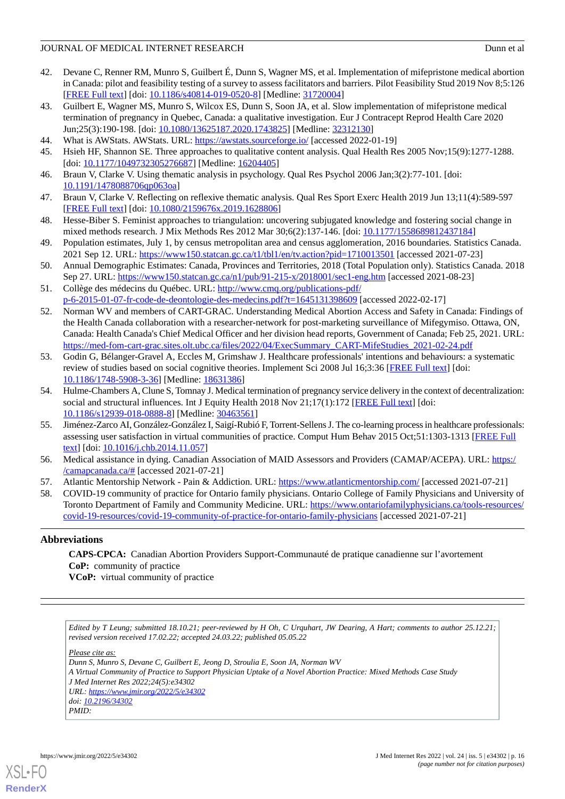- <span id="page-15-0"></span>42. Devane C, Renner RM, Munro S, Guilbert É, Dunn S, Wagner MS, et al. Implementation of mifepristone medical abortion in Canada: pilot and feasibility testing of a survey to assess facilitators and barriers. Pilot Feasibility Stud 2019 Nov 8;5:126 [[FREE Full text](https://pilotfeasibilitystudies.biomedcentral.com/articles/10.1186/s40814-019-0520-8)] [doi: [10.1186/s40814-019-0520-8\]](http://dx.doi.org/10.1186/s40814-019-0520-8) [Medline: [31720004](http://www.ncbi.nlm.nih.gov/entrez/query.fcgi?cmd=Retrieve&db=PubMed&list_uids=31720004&dopt=Abstract)]
- <span id="page-15-1"></span>43. Guilbert E, Wagner MS, Munro S, Wilcox ES, Dunn S, Soon JA, et al. Slow implementation of mifepristone medical termination of pregnancy in Quebec, Canada: a qualitative investigation. Eur J Contracept Reprod Health Care 2020 Jun;25(3):190-198. [doi: [10.1080/13625187.2020.1743825\]](http://dx.doi.org/10.1080/13625187.2020.1743825) [Medline: [32312130](http://www.ncbi.nlm.nih.gov/entrez/query.fcgi?cmd=Retrieve&db=PubMed&list_uids=32312130&dopt=Abstract)]
- <span id="page-15-3"></span><span id="page-15-2"></span>44. What is AWStats. AWStats. URL: <https://awstats.sourceforge.io/> [accessed 2022-01-19]
- 45. Hsieh HF, Shannon SE. Three approaches to qualitative content analysis. Qual Health Res 2005 Nov;15(9):1277-1288. [doi: [10.1177/1049732305276687](http://dx.doi.org/10.1177/1049732305276687)] [Medline: [16204405\]](http://www.ncbi.nlm.nih.gov/entrez/query.fcgi?cmd=Retrieve&db=PubMed&list_uids=16204405&dopt=Abstract)
- <span id="page-15-4"></span>46. Braun V, Clarke V. Using thematic analysis in psychology. Qual Res Psychol 2006 Jan;3(2):77-101. [doi: [10.1191/1478088706qp063oa](http://dx.doi.org/10.1191/1478088706qp063oa)]
- <span id="page-15-5"></span>47. Braun V, Clarke V. Reflecting on reflexive thematic analysis. Qual Res Sport Exerc Health 2019 Jun 13;11(4):589-597 [[FREE Full text](https://doi.org/10.1080/2159676X.2019.1628806)] [doi: [10.1080/2159676x.2019.1628806\]](http://dx.doi.org/10.1080/2159676x.2019.1628806)
- <span id="page-15-6"></span>48. Hesse-Biber S. Feminist approaches to triangulation: uncovering subjugated knowledge and fostering social change in mixed methods research. J Mix Methods Res 2012 Mar 30;6(2):137-146. [doi: [10.1177/1558689812437184](http://dx.doi.org/10.1177/1558689812437184)]
- <span id="page-15-7"></span>49. Population estimates, July 1, by census metropolitan area and census agglomeration, 2016 boundaries. Statistics Canada. 2021 Sep 12. URL: <https://www150.statcan.gc.ca/t1/tbl1/en/tv.action?pid=1710013501> [accessed 2021-07-23]
- <span id="page-15-8"></span>50. Annual Demographic Estimates: Canada, Provinces and Territories, 2018 (Total Population only). Statistics Canada. 2018 Sep 27. URL:<https://www150.statcan.gc.ca/n1/pub/91-215-x/2018001/sec1-eng.htm> [accessed 2021-08-23]
- <span id="page-15-9"></span>51. Collège des médecins du Québec. URL: [http://www.cmq.org/publications-pdf/](http://www.cmq.org/publications-pdf/p-6-2015-01-07-fr-code-de-deontologie-des-medecins.pdf?t=1645131398609) [p-6-2015-01-07-fr-code-de-deontologie-des-medecins.pdf?t=1645131398609](http://www.cmq.org/publications-pdf/p-6-2015-01-07-fr-code-de-deontologie-des-medecins.pdf?t=1645131398609) [accessed 2022-02-17]
- <span id="page-15-10"></span>52. Norman WV and members of CART-GRAC. Understanding Medical Abortion Access and Safety in Canada: Findings of the Health Canada collaboration with a researcher-network for post-marketing surveillance of Mifegymiso. Ottawa, ON, Canada: Health Canada's Chief Medical Officer and her division head reports, Government of Canada; Feb 25, 2021. URL: [https://med-fom-cart-grac.sites.olt.ubc.ca/files/2022/04/ExecSummary\\_CART-MifeStudies\\_2021-02-24.pdf](https://med-fom-cart-grac.sites.olt.ubc.ca/files/2022/04/ExecSummary_CART-MifeStudies_2021-02-24.pdf)
- <span id="page-15-11"></span>53. Godin G, Bélanger-Gravel A, Eccles M, Grimshaw J. Healthcare professionals' intentions and behaviours: a systematic review of studies based on social cognitive theories. Implement Sci 2008 Jul 16;3:36 [[FREE Full text](https://implementationscience.biomedcentral.com/articles/10.1186/1748-5908-3-36)] [doi: [10.1186/1748-5908-3-36\]](http://dx.doi.org/10.1186/1748-5908-3-36) [Medline: [18631386\]](http://www.ncbi.nlm.nih.gov/entrez/query.fcgi?cmd=Retrieve&db=PubMed&list_uids=18631386&dopt=Abstract)
- <span id="page-15-12"></span>54. Hulme-Chambers A, Clune S, Tomnay J. Medical termination of pregnancy service delivery in the context of decentralization: social and structural influences. Int J Equity Health 2018 Nov 21;17(1):172 [\[FREE Full text](https://equityhealthj.biomedcentral.com/articles/10.1186/s12939-018-0888-8)] [doi: [10.1186/s12939-018-0888-8\]](http://dx.doi.org/10.1186/s12939-018-0888-8) [Medline: [30463561](http://www.ncbi.nlm.nih.gov/entrez/query.fcgi?cmd=Retrieve&db=PubMed&list_uids=30463561&dopt=Abstract)]
- <span id="page-15-13"></span>55. Jiménez-Zarco AI, González-González I, Saigí-RubióF, Torrent-Sellens J. The co-learning process in healthcare professionals: assessing user satisfaction in virtual communities of practice. Comput Hum Behav 2015 Oct;51:1303-1313 [[FREE Full](https://doi.org/10.1016/j.chb.2014.11.057) [text](https://doi.org/10.1016/j.chb.2014.11.057)] [doi: [10.1016/j.chb.2014.11.057\]](http://dx.doi.org/10.1016/j.chb.2014.11.057)
- <span id="page-15-14"></span>56. Medical assistance in dying. Canadian Association of MAID Assessors and Providers (CAMAP/ACEPA). URL: [https:/](https://camapcanada.ca/#) [/camapcanada.ca/#](https://camapcanada.ca/#) [accessed 2021-07-21]
- 57. Atlantic Mentorship Network Pain & Addiction. URL: <https://www.atlanticmentorship.com/> [accessed 2021-07-21]
- 58. COVID-19 community of practice for Ontario family physicians. Ontario College of Family Physicians and University of Toronto Department of Family and Community Medicine. URL: [https://www.ontariofamilyphysicians.ca/tools-resources/](https://www.ontariofamilyphysicians.ca/tools-resources/covid-19-resources/covid-19-community-of-practice-for-ontario-family-physicians) [covid-19-resources/covid-19-community-of-practice-for-ontario-family-physicians](https://www.ontariofamilyphysicians.ca/tools-resources/covid-19-resources/covid-19-community-of-practice-for-ontario-family-physicians) [accessed 2021-07-21]

### **Abbreviations**

**CAPS-CPCA:** Canadian Abortion Providers Support-Communauté de pratique canadienne sur l'avortement **CoP:** community of practice **VCoP:** virtual community of practice

*Edited by T Leung; submitted 18.10.21; peer-reviewed by H Oh, C Urquhart, JW Dearing, A Hart; comments to author 25.12.21; revised version received 17.02.22; accepted 24.03.22; published 05.05.22*

*Please cite as:*

*Dunn S, Munro S, Devane C, Guilbert E, Jeong D, Stroulia E, Soon JA, Norman WV A Virtual Community of Practice to Support Physician Uptake of a Novel Abortion Practice: Mixed Methods Case Study J Med Internet Res 2022;24(5):e34302 URL: <https://www.jmir.org/2022/5/e34302> doi: [10.2196/34302](http://dx.doi.org/10.2196/34302)*

*PMID:*